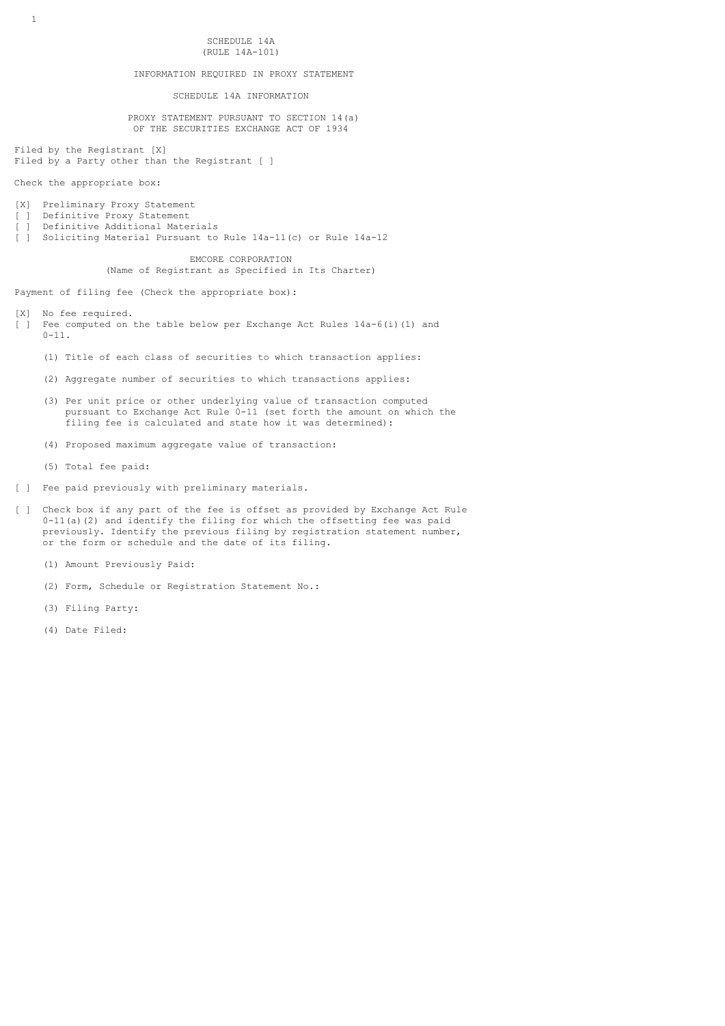SCHEDULE 14A (RULE 14A-101)

# INFORMATION REQUIRED IN PROXY STATEMENT

SCHEDULE 14A INFORMATION

 PROXY STATEMENT PURSUANT TO SECTION 14(a) OF THE SECURITIES EXCHANGE ACT OF 1934

Filed by the Registrant [X] Filed by a Party other than the Registrant [ ]

Check the appropriate box:

- [X] Preliminary Proxy Statement
- [ ] Definitive Proxy Statement
- [ ] Definitive Additional Materials
- [ ] Soliciting Material Pursuant to Rule 14a-11(c) or Rule 14a-12

 EMCORE CORPORATION (Name of Registrant as Specified in Its Charter)

Payment of filing fee (Check the appropriate box):

- [X] No fee required.
- [ ] Fee computed on the table below per Exchange Act Rules  $14a-6(i)$  (1) and  $0 - 11.$ 
	- (1) Title of each class of securities to which transaction applies:
	- (2) Aggregate number of securities to which transactions applies:
	- (3) Per unit price or other underlying value of transaction computed pursuant to Exchange Act Rule 0-11 (set forth the amount on which the filing fee is calculated and state how it was determined):
	- (4) Proposed maximum aggregate value of transaction:
	- (5) Total fee paid:
- [ ] Fee paid previously with preliminary materials.
- [ ] Check box if any part of the fee is offset as provided by Exchange Act Rule  $0-11$ (a)(2) and identify the filing for which the offsetting fee was paid previously. Identify the previous filing by registration statement number, or the form or schedule and the date of its filing.
	- (1) Amount Previously Paid:
	- (2) Form, Schedule or Registration Statement No.:
	- (3) Filing Party:
	- (4) Date Filed: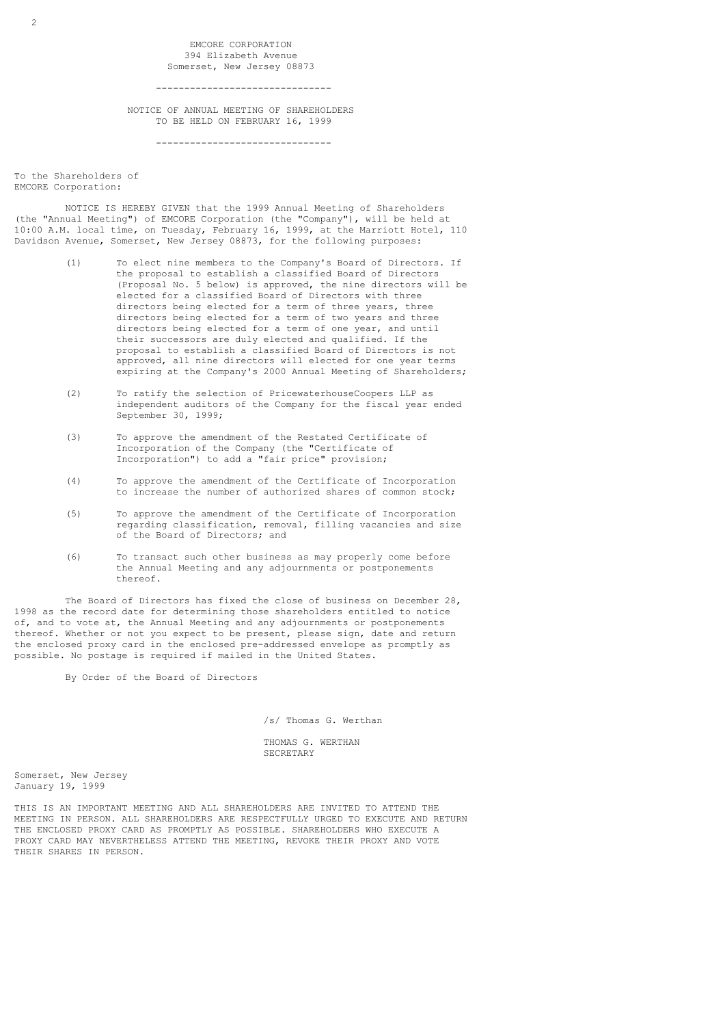EMCORE CORPORATION 394 Elizabeth Avenue Somerset, New Jersey 08873

-------------------------------

 NOTICE OF ANNUAL MEETING OF SHAREHOLDERS TO BE HELD ON FEBRUARY 16, 1999

-------------------------------

To the Shareholders of EMCORE Corporation:

 NOTICE IS HEREBY GIVEN that the 1999 Annual Meeting of Shareholders (the "Annual Meeting") of EMCORE Corporation (the "Company"), will be held at 10:00 A.M. local time, on Tuesday, February 16, 1999, at the Marriott Hotel, 110 Davidson Avenue, Somerset, New Jersey 08873, for the following purposes:

- (1) To elect nine members to the Company's Board of Directors. If the proposal to establish a classified Board of Directors (Proposal No. 5 below) is approved, the nine directors will be elected for a classified Board of Directors with three directors being elected for a term of three years, three directors being elected for a term of two years and three directors being elected for a term of one year, and until their successors are duly elected and qualified. If the proposal to establish a classified Board of Directors is not approved, all nine directors will elected for one year terms expiring at the Company's 2000 Annual Meeting of Shareholders;
- (2) To ratify the selection of PricewaterhouseCoopers LLP as independent auditors of the Company for the fiscal year ended September 30, 1999;
- (3) To approve the amendment of the Restated Certificate of Incorporation of the Company (the "Certificate of Incorporation") to add a "fair price" provision;
- (4) To approve the amendment of the Certificate of Incorporation to increase the number of authorized shares of common stock;
- (5) To approve the amendment of the Certificate of Incorporation regarding classification, removal, filling vacancies and size of the Board of Directors; and
- (6) To transact such other business as may properly come before the Annual Meeting and any adjournments or postponements thereof.

 The Board of Directors has fixed the close of business on December 28, 1998 as the record date for determining those shareholders entitled to notice of, and to vote at, the Annual Meeting and any adjournments or postponements thereof. Whether or not you expect to be present, please sign, date and return the enclosed proxy card in the enclosed pre-addressed envelope as promptly as possible. No postage is required if mailed in the United States.

By Order of the Board of Directors

/s/ Thomas G. Werthan

 THOMAS G. WERTHAN SECRETARY

Somerset, New Jersey January 19, 1999

THIS IS AN IMPORTANT MEETING AND ALL SHAREHOLDERS ARE INVITED TO ATTEND THE MEETING IN PERSON. ALL SHAREHOLDERS ARE RESPECTFULLY URGED TO EXECUTE AND RETURN THE ENCLOSED PROXY CARD AS PROMPTLY AS POSSIBLE. SHAREHOLDERS WHO EXECUTE A PROXY CARD MAY NEVERTHELESS ATTEND THE MEETING, REVOKE THEIR PROXY AND VOTE THEIR SHARES IN PERSON.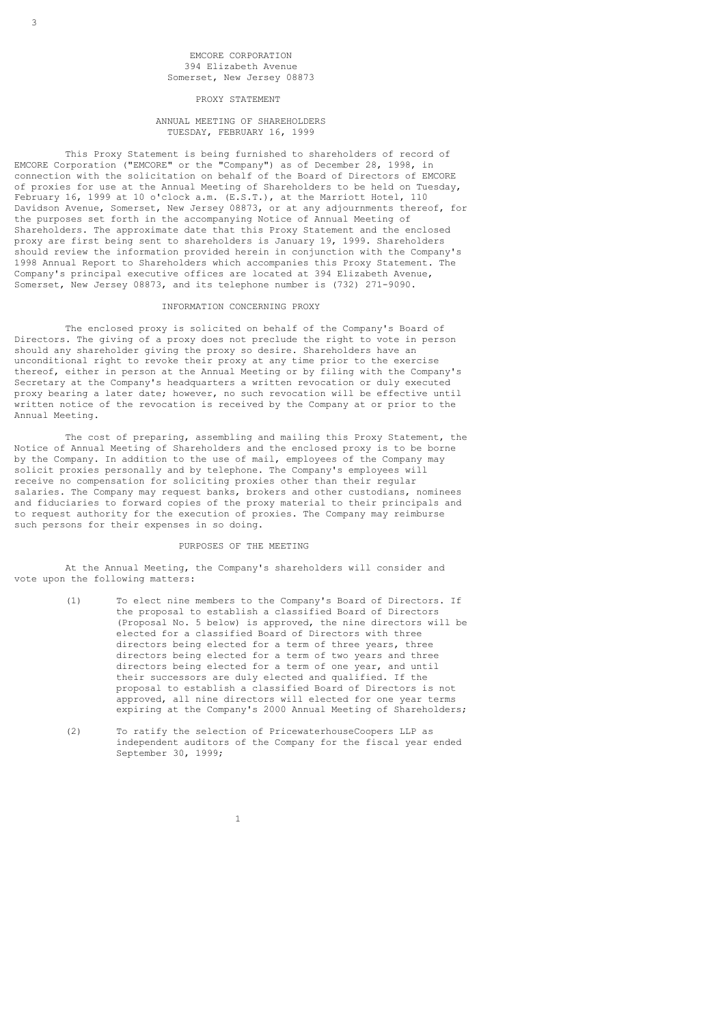### EMCORE CORPORATION 394 Elizabeth Avenue Somerset, New Jersey 08873

PROXY STATEMENT

### ANNUAL MEETING OF SHAREHOLDERS TUESDAY, FEBRUARY 16, 1999

 This Proxy Statement is being furnished to shareholders of record of EMCORE Corporation ("EMCORE" or the "Company") as of December 28, 1998, in connection with the solicitation on behalf of the Board of Directors of EMCORE of proxies for use at the Annual Meeting of Shareholders to be held on Tuesday, February 16, 1999 at 10 o'clock a.m. (E.S.T.), at the Marriott Hotel, 110 Davidson Avenue, Somerset, New Jersey 08873, or at any adjournments thereof, for the purposes set forth in the accompanying Notice of Annual Meeting of Shareholders. The approximate date that this Proxy Statement and the enclosed proxy are first being sent to shareholders is January 19, 1999. Shareholders should review the information provided herein in conjunction with the Company's 1998 Annual Report to Shareholders which accompanies this Proxy Statement. The Company's principal executive offices are located at 394 Elizabeth Avenue, Somerset, New Jersey 08873, and its telephone number is (732) 271-9090.

#### INFORMATION CONCERNING PROXY

 The enclosed proxy is solicited on behalf of the Company's Board of Directors. The giving of a proxy does not preclude the right to vote in person should any shareholder giving the proxy so desire. Shareholders have an unconditional right to revoke their proxy at any time prior to the exercise thereof, either in person at the Annual Meeting or by filing with the Company's Secretary at the Company's headquarters a written revocation or duly executed proxy bearing a later date; however, no such revocation will be effective until written notice of the revocation is received by the Company at or prior to the Annual Meeting.

 The cost of preparing, assembling and mailing this Proxy Statement, the Notice of Annual Meeting of Shareholders and the enclosed proxy is to be borne by the Company. In addition to the use of mail, employees of the Company may solicit proxies personally and by telephone. The Company's employees will receive no compensation for soliciting proxies other than their regular salaries. The Company may request banks, brokers and other custodians, nominees and fiduciaries to forward copies of the proxy material to their principals and to request authority for the execution of proxies. The Company may reimburse such persons for their expenses in so doing.

#### PURPOSES OF THE MEETING

 At the Annual Meeting, the Company's shareholders will consider and vote upon the following matters:

- (1) To elect nine members to the Company's Board of Directors. If the proposal to establish a classified Board of Directors (Proposal No. 5 below) is approved, the nine directors will be elected for a classified Board of Directors with three directors being elected for a term of three years, three directors being elected for a term of two years and three directors being elected for a term of one year, and until their successors are duly elected and qualified. If the proposal to establish a classified Board of Directors is not approved, all nine directors will elected for one year terms expiring at the Company's 2000 Annual Meeting of Shareholders;
- (2) To ratify the selection of PricewaterhouseCoopers LLP as independent auditors of the Company for the fiscal year ended September 30, 1999;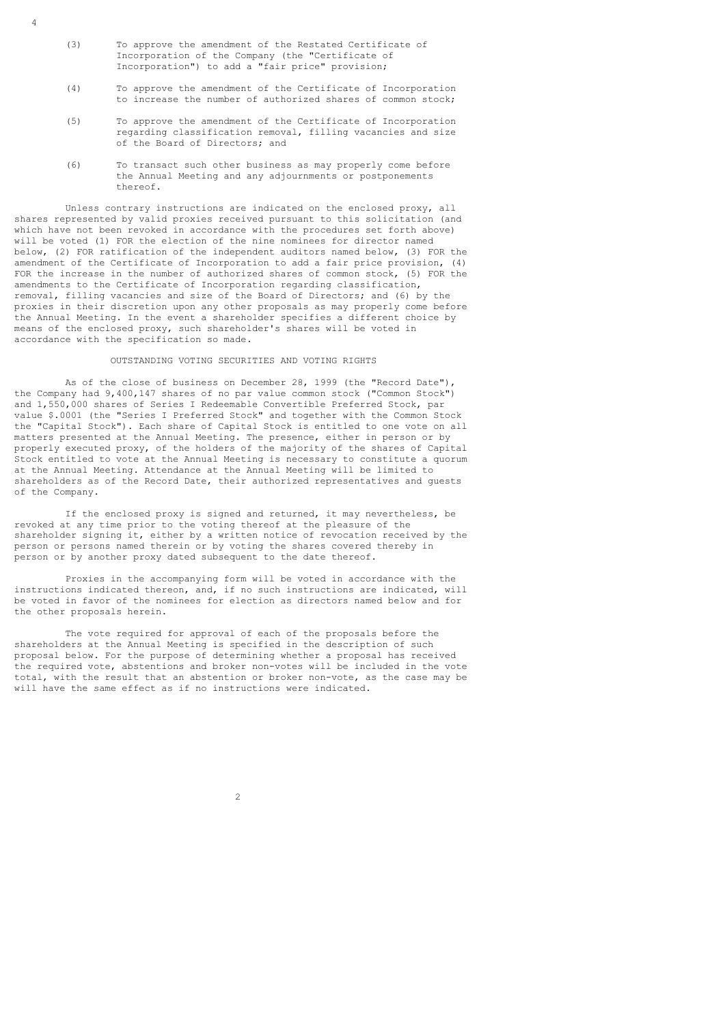(3) To approve the amendment of the Restated Certificate of Incorporation of the Company (the "Certificate of Incorporation") to add a "fair price" provision;

4

- (4) To approve the amendment of the Certificate of Incorporation to increase the number of authorized shares of common stock;
- (5) To approve the amendment of the Certificate of Incorporation regarding classification removal, filling vacancies and size of the Board of Directors; and
- (6) To transact such other business as may properly come before the Annual Meeting and any adjournments or postponements thereof.

 Unless contrary instructions are indicated on the enclosed proxy, all shares represented by valid proxies received pursuant to this solicitation (and which have not been revoked in accordance with the procedures set forth above) will be voted (1) FOR the election of the nine nominees for director named below, (2) FOR ratification of the independent auditors named below, (3) FOR the amendment of the Certificate of Incorporation to add a fair price provision, (4) FOR the increase in the number of authorized shares of common stock, (5) FOR the amendments to the Certificate of Incorporation regarding classification, removal, filling vacancies and size of the Board of Directors; and (6) by the proxies in their discretion upon any other proposals as may properly come before the Annual Meeting. In the event a shareholder specifies a different choice by means of the enclosed proxy, such shareholder's shares will be voted in accordance with the specification so made.

### OUTSTANDING VOTING SECURITIES AND VOTING RIGHTS

 As of the close of business on December 28, 1999 (the "Record Date"), the Company had 9,400,147 shares of no par value common stock ("Common Stock") and 1,550,000 shares of Series I Redeemable Convertible Preferred Stock, par value \$.0001 (the "Series I Preferred Stock" and together with the Common Stock the "Capital Stock"). Each share of Capital Stock is entitled to one vote on all matters presented at the Annual Meeting. The presence, either in person or by properly executed proxy, of the holders of the majority of the shares of Capital Stock entitled to vote at the Annual Meeting is necessary to constitute a quorum at the Annual Meeting. Attendance at the Annual Meeting will be limited to shareholders as of the Record Date, their authorized representatives and guests of the Company.

 If the enclosed proxy is signed and returned, it may nevertheless, be revoked at any time prior to the voting thereof at the pleasure of the shareholder signing it, either by a written notice of revocation received by the person or persons named therein or by voting the shares covered thereby in person or by another proxy dated subsequent to the date thereof.

 Proxies in the accompanying form will be voted in accordance with the instructions indicated thereon, and, if no such instructions are indicated, will be voted in favor of the nominees for election as directors named below and for the other proposals herein.

 The vote required for approval of each of the proposals before the shareholders at the Annual Meeting is specified in the description of such proposal below. For the purpose of determining whether a proposal has received the required vote, abstentions and broker non-votes will be included in the vote total, with the result that an abstention or broker non-vote, as the case may be will have the same effect as if no instructions were indicated.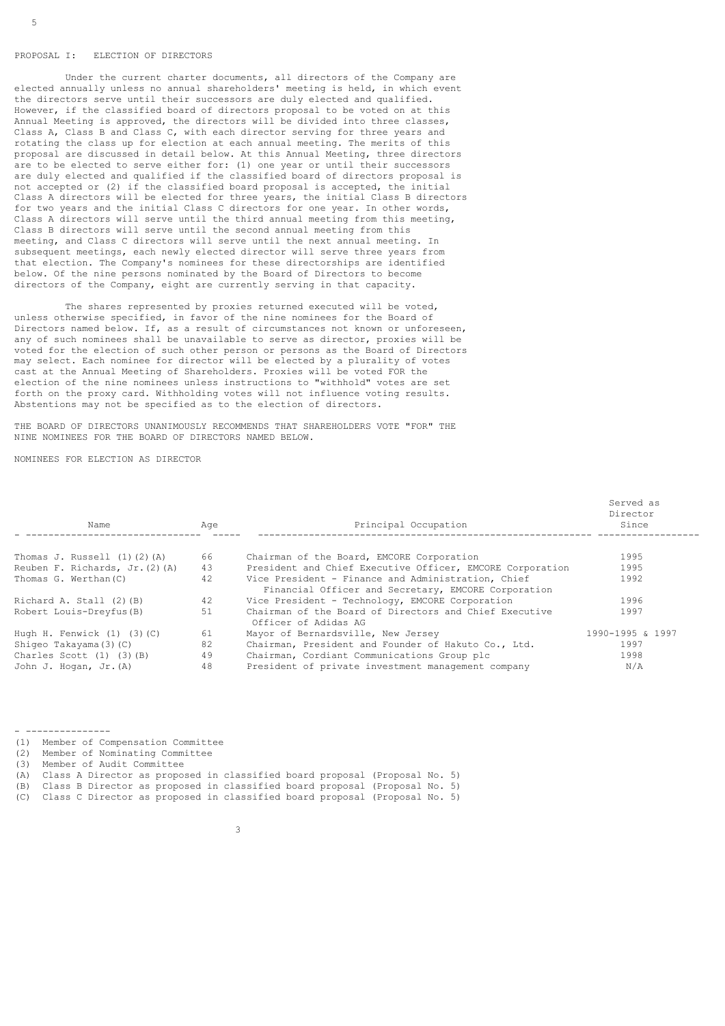#### PROPOSAL I: ELECTION OF DIRECTORS

 Under the current charter documents, all directors of the Company are elected annually unless no annual shareholders' meeting is held, in which event the directors serve until their successors are duly elected and qualified. However, if the classified board of directors proposal to be voted on at this Annual Meeting is approved, the directors will be divided into three classes, Class A, Class B and Class C, with each director serving for three years and rotating the class up for election at each annual meeting. The merits of this proposal are discussed in detail below. At this Annual Meeting, three directors are to be elected to serve either for: (1) one year or until their successors are duly elected and qualified if the classified board of directors proposal is not accepted or (2) if the classified board proposal is accepted, the initial Class A directors will be elected for three years, the initial Class B directors for two years and the initial Class C directors for one year. In other words, Class A directors will serve until the third annual meeting from this meeting, Class B directors will serve until the second annual meeting from this meeting, and Class C directors will serve until the next annual meeting. In subsequent meetings, each newly elected director will serve three years from that election. The Company's nominees for these directorships are identified below. Of the nine persons nominated by the Board of Directors to become directors of the Company, eight are currently serving in that capacity.

 The shares represented by proxies returned executed will be voted, unless otherwise specified, in favor of the nine nominees for the Board of Directors named below. If, as a result of circumstances not known or unforeseen, any of such nominees shall be unavailable to serve as director, proxies will be voted for the election of such other person or persons as the Board of Directors may select. Each nominee for director will be elected by a plurality of votes cast at the Annual Meeting of Shareholders. Proxies will be voted FOR the election of the nine nominees unless instructions to "withhold" votes are set forth on the proxy card. Withholding votes will not influence voting results. Abstentions may not be specified as to the election of directors.

THE BOARD OF DIRECTORS UNANIMOUSLY RECOMMENDS THAT SHAREHOLDERS VOTE "FOR" THE NINE NOMINEES FOR THE BOARD OF DIRECTORS NAMED BELOW.

NOMINEES FOR ELECTION AS DIRECTOR

| Name                                | Age | Principal Occupation                                                                                      | Served as<br>Director<br>Since |
|-------------------------------------|-----|-----------------------------------------------------------------------------------------------------------|--------------------------------|
| Thomas J. Russell $(1)$ $(2)$ $(A)$ | 66  | Chairman of the Board, EMCORE Corporation                                                                 | 1995                           |
| Reuben F. Richards, Jr. (2) (A)     | 43  | President and Chief Executive Officer, EMCORE Corporation                                                 | 1995                           |
| Thomas G. Werthan (C)               | 42  | Vice President - Finance and Administration, Chief<br>Financial Officer and Secretary, EMCORE Corporation | 1992                           |
| Richard A. Stall (2)(B)             | 42  | Vice President - Technology, EMCORE Corporation                                                           | 1996                           |
| Robert Louis-Dreyfus (B)            | 51  | Chairman of the Board of Directors and Chief Executive<br>Officer of Adidas AG                            | 1997                           |
| Hugh H. Fenwick $(1)$ $(3)$ $(C)$   | 61  | Mayor of Bernardsville, New Jersey                                                                        | 1990-1995 & 1997               |
| Shiqeo Takayama (3) (C)             | 82  | Chairman, President and Founder of Hakuto Co., Ltd.                                                       | 1997                           |
| Charles Scott $(1)$ $(3)$ $(B)$     | 49  | Chairman, Cordiant Communications Group plc                                                               | 1998                           |
| John J. Hogan, Jr. (A)              | 48  | President of private investment management company                                                        | N/A                            |

| (1) | Member of Compensation Committee                                           |
|-----|----------------------------------------------------------------------------|
| (2) | Member of Nominating Committee                                             |
| (3) | Member of Audit Committee                                                  |
| (A) | Class A Director as proposed in classified board proposal (Proposal No. 5) |
| (B) | Class B Director as proposed in classified board proposal (Proposal No. 5) |
| (C) | Class C Director as proposed in classified board proposal (Proposal No. 5) |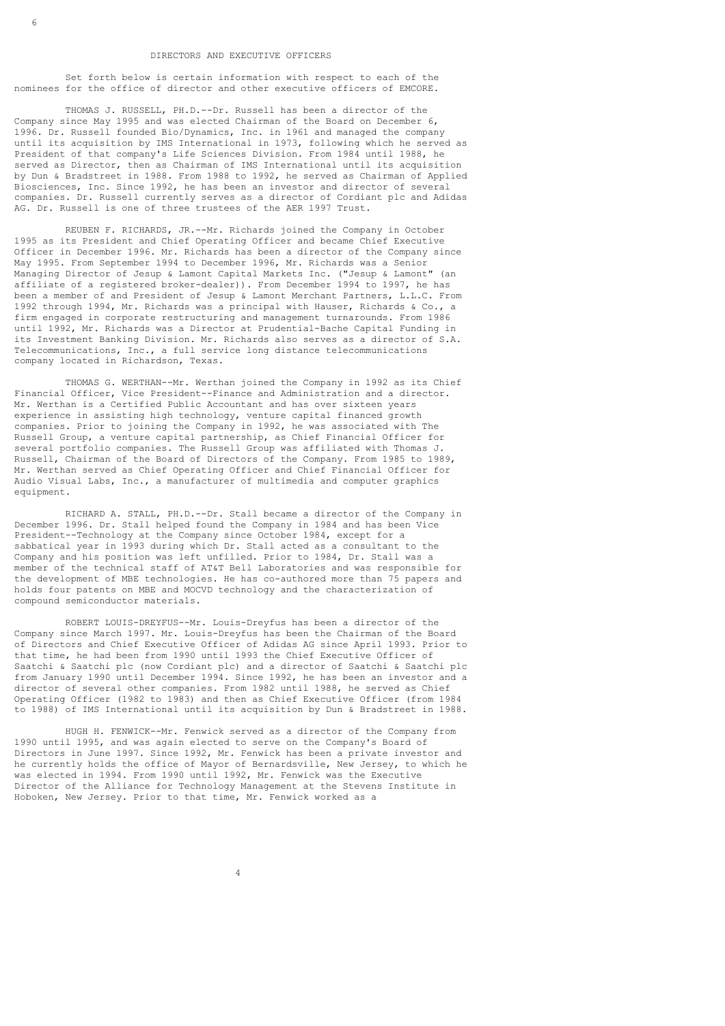#### DIRECTORS AND EXECUTIVE OFFICERS

 Set forth below is certain information with respect to each of the nominees for the office of director and other executive officers of EMCORE.

 THOMAS J. RUSSELL, PH.D.--Dr. Russell has been a director of the Company since May 1995 and was elected Chairman of the Board on December 6, 1996. Dr. Russell founded Bio/Dynamics, Inc. in 1961 and managed the company until its acquisition by IMS International in 1973, following which he served as President of that company's Life Sciences Division. From 1984 until 1988, he served as Director, then as Chairman of IMS International until its acquisition by Dun & Bradstreet in 1988. From 1988 to 1992, he served as Chairman of Applied Biosciences, Inc. Since 1992, he has been an investor and director of several companies. Dr. Russell currently serves as a director of Cordiant plc and Adidas AG. Dr. Russell is one of three trustees of the AER 1997 Trust.

 REUBEN F. RICHARDS, JR.--Mr. Richards joined the Company in October 1995 as its President and Chief Operating Officer and became Chief Executive Officer in December 1996. Mr. Richards has been a director of the Company since May 1995. From September 1994 to December 1996, Mr. Richards was a Senior Managing Director of Jesup & Lamont Capital Markets Inc. ("Jesup & Lamont" (an affiliate of a registered broker-dealer)). From December 1994 to 1997, he has been a member of and President of Jesup & Lamont Merchant Partners, L.L.C. From 1992 through 1994, Mr. Richards was a principal with Hauser, Richards & Co., a firm engaged in corporate restructuring and management turnarounds. From 1986 until 1992, Mr. Richards was a Director at Prudential-Bache Capital Funding in its Investment Banking Division. Mr. Richards also serves as a director of S.A. Telecommunications, Inc., a full service long distance telecommunications company located in Richardson, Texas.

 THOMAS G. WERTHAN--Mr. Werthan joined the Company in 1992 as its Chief Financial Officer, Vice President--Finance and Administration and a director. Mr. Werthan is a Certified Public Accountant and has over sixteen years experience in assisting high technology, venture capital financed growth companies. Prior to joining the Company in 1992, he was associated with The Russell Group, a venture capital partnership, as Chief Financial Officer for several portfolio companies. The Russell Group was affiliated with Thomas J. Russell, Chairman of the Board of Directors of the Company. From 1985 to 1989, Mr. Werthan served as Chief Operating Officer and Chief Financial Officer for Audio Visual Labs, Inc., a manufacturer of multimedia and computer graphics equipment.

 RICHARD A. STALL, PH.D.--Dr. Stall became a director of the Company in December 1996. Dr. Stall helped found the Company in 1984 and has been Vice President--Technology at the Company since October 1984, except for a sabbatical year in 1993 during which Dr. Stall acted as a consultant to the Company and his position was left unfilled. Prior to 1984, Dr. Stall was a member of the technical staff of AT&T Bell Laboratories and was responsible for the development of MBE technologies. He has co-authored more than 75 papers and holds four patents on MBE and MOCVD technology and the characterization of compound semiconductor materials.

 ROBERT LOUIS-DREYFUS--Mr. Louis-Dreyfus has been a director of the Company since March 1997. Mr. Louis-Dreyfus has been the Chairman of the Board of Directors and Chief Executive Officer of Adidas AG since April 1993. Prior to that time, he had been from 1990 until 1993 the Chief Executive Officer of Saatchi & Saatchi plc (now Cordiant plc) and a director of Saatchi & Saatchi plc from January 1990 until December 1994. Since 1992, he has been an investor and a director of several other companies. From 1982 until 1988, he served as Chief Operating Officer (1982 to 1983) and then as Chief Executive Officer (from 1984 to 1988) of IMS International until its acquisition by Dun & Bradstreet in 1988.

 HUGH H. FENWICK--Mr. Fenwick served as a director of the Company from 1990 until 1995, and was again elected to serve on the Company's Board of Directors in June 1997. Since 1992, Mr. Fenwick has been a private investor and he currently holds the office of Mayor of Bernardsville, New Jersey, to which he was elected in 1994. From 1990 until 1992, Mr. Fenwick was the Executive Director of the Alliance for Technology Management at the Stevens Institute in Hoboken, New Jersey. Prior to that time, Mr. Fenwick worked as a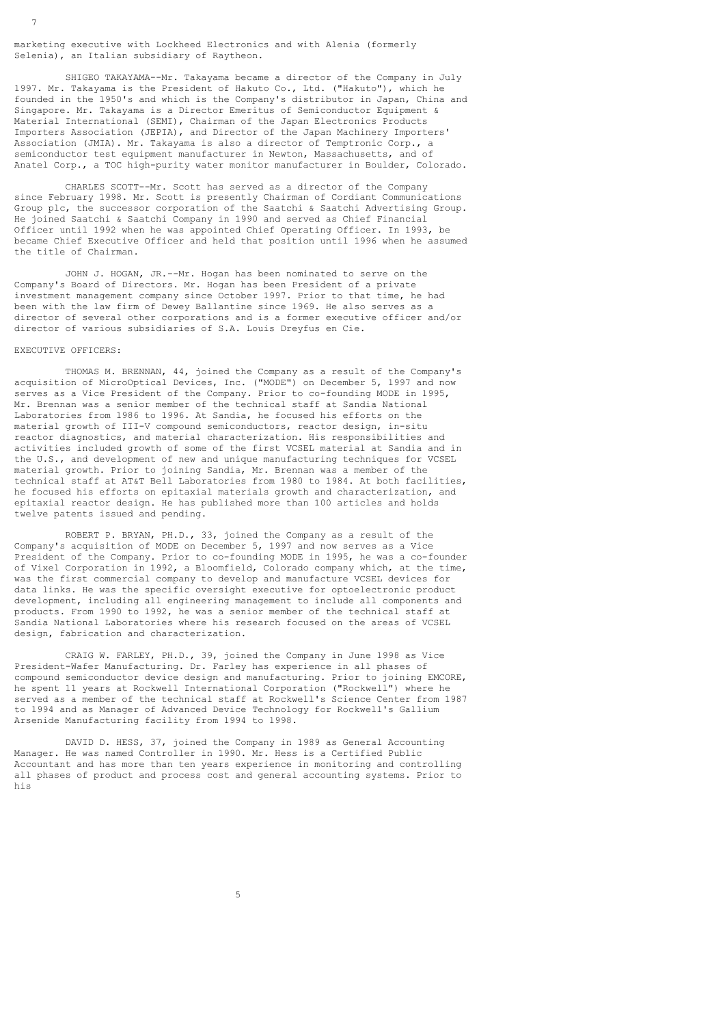marketing executive with Lockheed Electronics and with Alenia (formerly Selenia), an Italian subsidiary of Raytheon.

 SHIGEO TAKAYAMA--Mr. Takayama became a director of the Company in July 1997. Mr. Takayama is the President of Hakuto Co., Ltd. ("Hakuto"), which he founded in the 1950's and which is the Company's distributor in Japan, China and Singapore. Mr. Takayama is a Director Emeritus of Semiconductor Equipment & Material International (SEMI), Chairman of the Japan Electronics Products Importers Association (JEPIA), and Director of the Japan Machinery Importers' Association (JMIA). Mr. Takayama is also a director of Temptronic Corp., a semiconductor test equipment manufacturer in Newton, Massachusetts, and of Anatel Corp., a TOC high-purity water monitor manufacturer in Boulder, Colorado.

 CHARLES SCOTT--Mr. Scott has served as a director of the Company since February 1998. Mr. Scott is presently Chairman of Cordiant Communications Group plc, the successor corporation of the Saatchi & Saatchi Advertising Group. He joined Saatchi & Saatchi Company in 1990 and served as Chief Financial Officer until 1992 when he was appointed Chief Operating Officer. In 1993, be became Chief Executive Officer and held that position until 1996 when he assumed the title of Chairman.

 JOHN J. HOGAN, JR.--Mr. Hogan has been nominated to serve on the Company's Board of Directors. Mr. Hogan has been President of a private investment management company since October 1997. Prior to that time, he had been with the law firm of Dewey Ballantine since 1969. He also serves as a director of several other corporations and is a former executive officer and/or director of various subsidiaries of S.A. Louis Dreyfus en Cie.

#### EXECUTIVE OFFICERS:

7

 THOMAS M. BRENNAN, 44, joined the Company as a result of the Company's acquisition of MicroOptical Devices, Inc. ("MODE") on December 5, 1997 and now serves as a Vice President of the Company. Prior to co-founding MODE in 1995, Mr. Brennan was a senior member of the technical staff at Sandia National Laboratories from 1986 to 1996. At Sandia, he focused his efforts on the material growth of III-V compound semiconductors, reactor design, in-situ reactor diagnostics, and material characterization. His responsibilities and activities included growth of some of the first VCSEL material at Sandia and in the U.S., and development of new and unique manufacturing techniques for VCSEL material growth. Prior to joining Sandia, Mr. Brennan was a member of the technical staff at AT&T Bell Laboratories from 1980 to 1984. At both facilities, he focused his efforts on epitaxial materials growth and characterization, and epitaxial reactor design. He has published more than 100 articles and holds twelve patents issued and pending.

 ROBERT P. BRYAN, PH.D., 33, joined the Company as a result of the Company's acquisition of MODE on December 5, 1997 and now serves as a Vice President of the Company. Prior to co-founding MODE in 1995, he was a co-founder of Vixel Corporation in 1992, a Bloomfield, Colorado company which, at the time, was the first commercial company to develop and manufacture VCSEL devices for data links. He was the specific oversight executive for optoelectronic product development, including all engineering management to include all components and products. From 1990 to 1992, he was a senior member of the technical staff at Sandia National Laboratories where his research focused on the areas of VCSEL design, fabrication and characterization.

 CRAIG W. FARLEY, PH.D., 39, joined the Company in June 1998 as Vice President-Wafer Manufacturing. Dr. Farley has experience in all phases of compound semiconductor device design and manufacturing. Prior to joining EMCORE, he spent 11 years at Rockwell International Corporation ("Rockwell") where he served as a member of the technical staff at Rockwell's Science Center from 1987 to 1994 and as Manager of Advanced Device Technology for Rockwell's Gallium Arsenide Manufacturing facility from 1994 to 1998.

 DAVID D. HESS, 37, joined the Company in 1989 as General Accounting Manager. He was named Controller in 1990. Mr. Hess is a Certified Public Accountant and has more than ten years experience in monitoring and controlling all phases of product and process cost and general accounting systems. Prior to his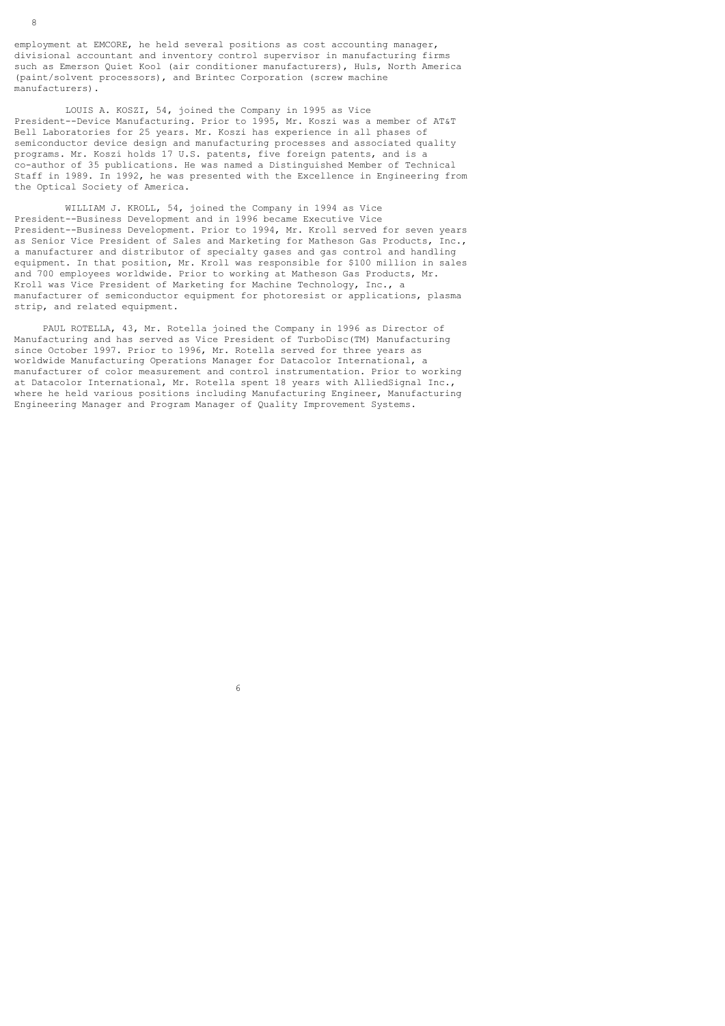employment at EMCORE, he held several positions as cost accounting manager, divisional accountant and inventory control supervisor in manufacturing firms such as Emerson Quiet Kool (air conditioner manufacturers), Huls, North America (paint/solvent processors), and Brintec Corporation (screw machine manufacturers).

 LOUIS A. KOSZI, 54, joined the Company in 1995 as Vice President--Device Manufacturing. Prior to 1995, Mr. Koszi was a member of AT&T Bell Laboratories for 25 years. Mr. Koszi has experience in all phases of semiconductor device design and manufacturing processes and associated quality programs. Mr. Koszi holds 17 U.S. patents, five foreign patents, and is a co-author of 35 publications. He was named a Distinguished Member of Technical Staff in 1989. In 1992, he was presented with the Excellence in Engineering from the Optical Society of America.

 WILLIAM J. KROLL, 54, joined the Company in 1994 as Vice President--Business Development and in 1996 became Executive Vice President--Business Development. Prior to 1994, Mr. Kroll served for seven years as Senior Vice President of Sales and Marketing for Matheson Gas Products, Inc., a manufacturer and distributor of specialty gases and gas control and handling equipment. In that position, Mr. Kroll was responsible for \$100 million in sales and 700 employees worldwide. Prior to working at Matheson Gas Products, Mr. Kroll was Vice President of Marketing for Machine Technology, Inc., a manufacturer of semiconductor equipment for photoresist or applications, plasma strip, and related equipment.

 PAUL ROTELLA, 43, Mr. Rotella joined the Company in 1996 as Director of Manufacturing and has served as Vice President of TurboDisc(TM) Manufacturing since October 1997. Prior to 1996, Mr. Rotella served for three years as worldwide Manufacturing Operations Manager for Datacolor International, a manufacturer of color measurement and control instrumentation. Prior to working at Datacolor International, Mr. Rotella spent 18 years with AlliedSignal Inc., where he held various positions including Manufacturing Engineer, Manufacturing Engineering Manager and Program Manager of Quality Improvement Systems.

 $\sim$  6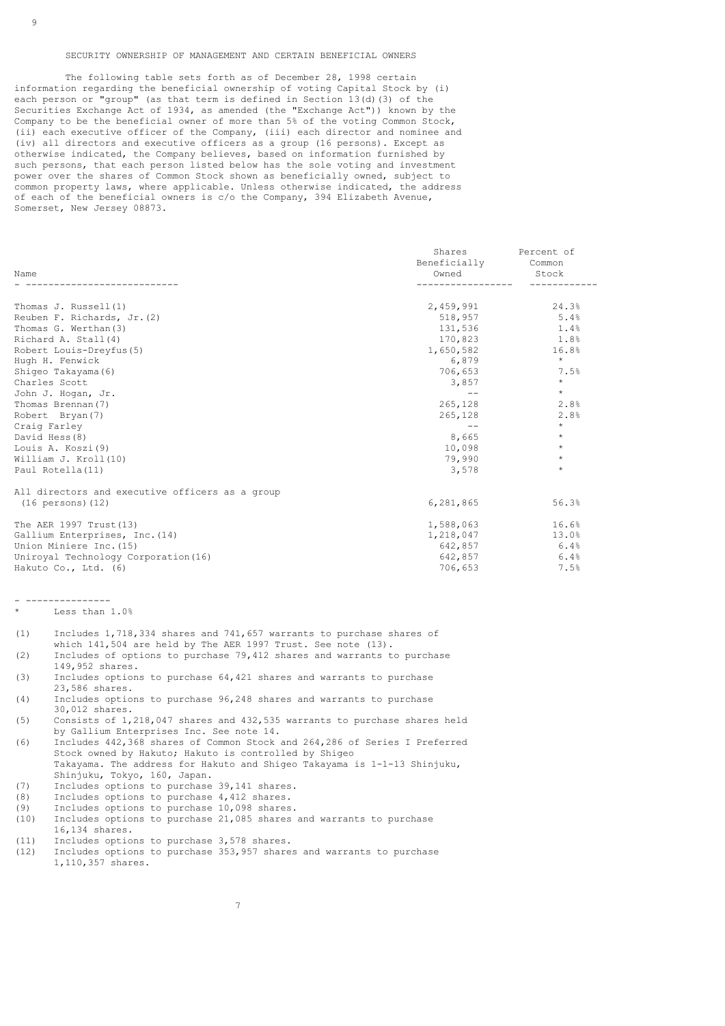### SECURITY OWNERSHIP OF MANAGEMENT AND CERTAIN BENEFICIAL OWNERS

 The following table sets forth as of December 28, 1998 certain information regarding the beneficial ownership of voting Capital Stock by (i) each person or "group" (as that term is defined in Section 13(d)(3) of the Securities Exchange Act of 1934, as amended (the "Exchange Act")) known by the Company to be the beneficial owner of more than 5% of the voting Common Stock, (ii) each executive officer of the Company, (iii) each director and nominee and (iv) all directors and executive officers as a group (16 persons). Except as otherwise indicated, the Company believes, based on information furnished by such persons, that each person listed below has the sole voting and investment power over the shares of Common Stock shown as beneficially owned, subject to common property laws, where applicable. Unless otherwise indicated, the address of each of the beneficial owners is c/o the Company, 394 Elizabeth Avenue, Somerset, New Jersey 08873.

|                                                 | Shares<br>Beneficially | Percent of<br>Common |
|-------------------------------------------------|------------------------|----------------------|
| Name                                            | Owned                  | Stock                |
|                                                 |                        |                      |
| Thomas J. Russell(1)                            | 2,459,991              | 24.3%                |
| Reuben F. Richards, Jr. (2)                     | 518,957                | 5.4%                 |
| Thomas G. Werthan(3)                            | 131,536                | 1.4%                 |
| Richard A. Stall(4)                             | 170,823                | 1.8%                 |
| Robert Louis-Dreyfus (5)                        | 1,650,582              | 16.8%                |
| Hugh H. Fenwick                                 | 6,879                  | $\star$              |
| Shiqeo Takayama (6)                             | 706,653                | 7.5%                 |
| Charles Scott                                   | 3,857                  | $\star$              |
| John J. Hogan, Jr.                              | $- -$                  | $\star$              |
| Thomas Brennan(7)                               | 265,128                | 2.8%                 |
| Robert Bryan (7)                                | 265,128                | 2.8%                 |
| Craig Farley                                    | $- -$                  | $\star$              |
| David Hess(8)                                   | 8,665                  | $\star$              |
| Louis A. Koszi (9)                              | 10,098                 | $\star$              |
| William J. Kroll(10)                            | 79,990                 | $\star$              |
| Paul Rotella (11)                               | 3,578                  | $\star$              |
| All directors and executive officers as a group |                        |                      |
| (16 persons) (12)                               | 6,281,865              | 56.3%                |
| The AER 1997 Trust (13)                         | 1,588,063              | 16.6%                |
| Gallium Enterprises, Inc. (14)                  | 1,218,047              | 13.0%                |
| Union Miniere Inc. (15)                         | 642,857                | 6.4%                 |
| Uniroyal Technology Corporation (16)            | 642,857                | 6.4%                 |
| Hakuto Co., Ltd. (6)                            | 706,653                | 7.5%                 |

- --------------- Less than 1.0%

- (1) Includes 1,718,334 shares and 741,657 warrants to purchase shares of
- which 141,504 are held by The AER 1997 Trust. See note (13).
- (2) Includes of options to purchase 79,412 shares and warrants to purchase  $149,952$  shares.<br>(3) Includes option
- Includes options to purchase  $64,421$  shares and warrants to purchase 23,586 shares.
- (4) Includes options to purchase 96,248 shares and warrants to purchase 30,012 shares.
- (5) Consists of 1,218,047 shares and 432,535 warrants to purchase shares held by Gallium Enterprises Inc. See note 14.<br>(6) Includes 442,368 shares of Common Stock
- (6) Includes 442,368 shares of Common Stock and 264,286 of Series I Preferred Stock owned by Hakuto; Hakuto is controlled by Shigeo Takayama. The address for Hakuto and Shigeo Takayama is 1-1-13 Shinjuku, Shinjuku, Tokyo, 160, Japan.<br>(7) Includes options to purchase
- (7) Includes options to purchase 39,141 shares.<br>(8) Includes options to purchase 4,412 shares.
- (8) Includes options to purchase 4,412 shares.<br>(9) Includes options to purchase 10,098 shares (9) Includes options to purchase  $10,098$  shares.<br>(10) Includes options to purchase  $21.085$  shares.
- Includes options to purchase 21,085 shares and warrants to purchase 16,134 shares.<br>(11) Includes optio
- (11) Includes options to purchase 3,578 shares.<br>(12) Includes options to purchase 353,957 share
- Includes options to purchase 353,957 shares and warrants to purchase 1,110,357 shares.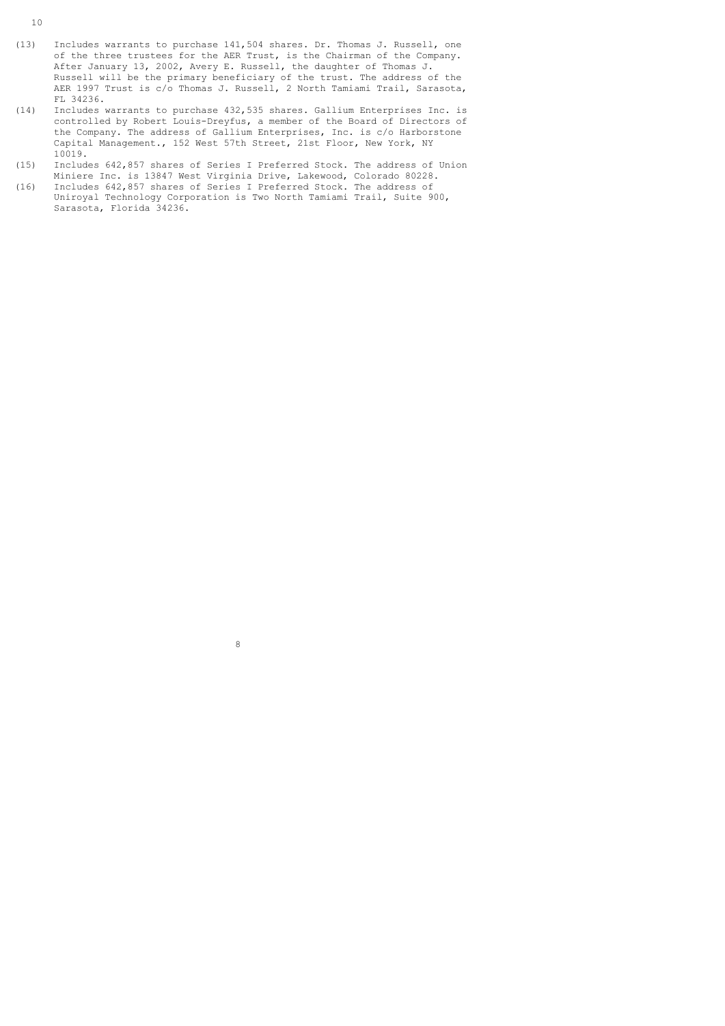- (13) Includes warrants to purchase 141,504 shares. Dr. Thomas J. Russell, one of the three trustees for the AER Trust, is the Chairman of the Company. After January 13, 2002, Avery E. Russell, the daughter of Thomas J. Russell will be the primary beneficiary of the trust. The address of the AER 1997 Trust is c/o Thomas J. Russell, 2 North Tamiami Trail, Sarasota,  $FL 34236.$ <br>(14) Includes w
- (14) Includes warrants to purchase 432,535 shares. Gallium Enterprises Inc. is controlled by Robert Louis-Dreyfus, a member of the Board of Directors of the Company. The address of Gallium Enterprises, Inc. is c/o Harborstone Capital Management., 152 West 57th Street, 21st Floor, New York, NY  $10019.$ <br>(15) Include
- (15) Includes 642,857 shares of Series I Preferred Stock. The address of Union Miniere Inc. is 13847 West Virginia Drive, Lakewood, Colorado 80228.
- (16) Includes 642,857 shares of Series I Preferred Stock. The address of Uniroyal Technology Corporation is Two North Tamiami Trail, Suite 900, Sarasota, Florida 34236.

en andere de la provincia de la provincia de la provincia de la provincia de la provincia de la provincia del<br>Segundo de la provincia de la provincia de la provincia de la provincia de la provincia de la provincia de la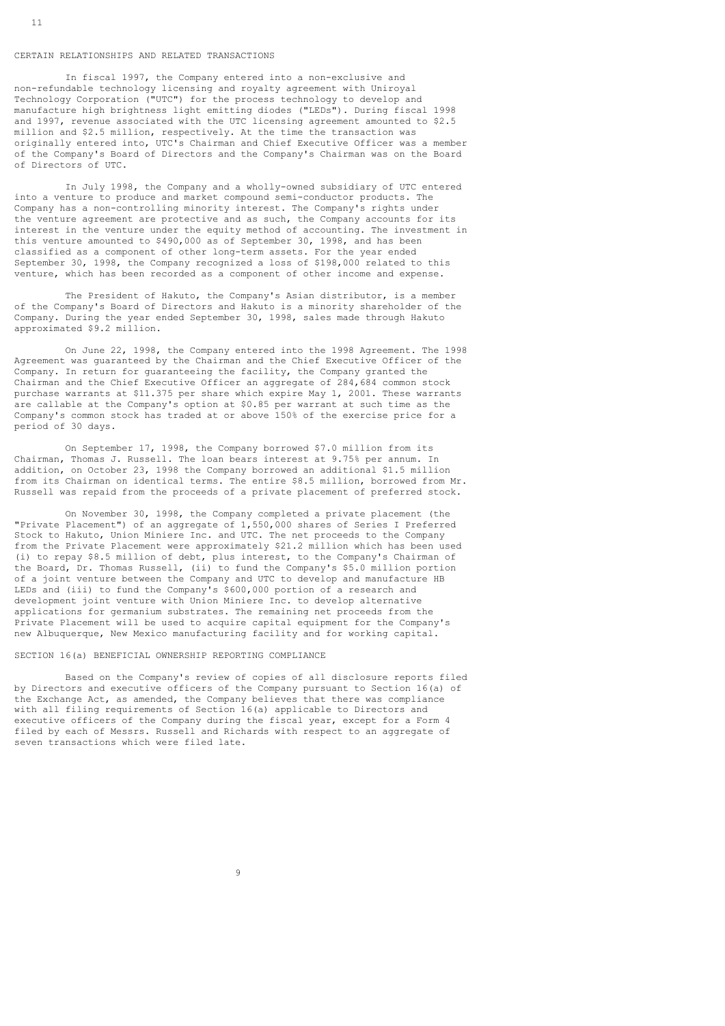#### CERTAIN RELATIONSHIPS AND RELATED TRANSACTIONS

 In fiscal 1997, the Company entered into a non-exclusive and non-refundable technology licensing and royalty agreement with Uniroyal Technology Corporation ("UTC") for the process technology to develop and manufacture high brightness light emitting diodes ("LEDs"). During fiscal 1998 and 1997, revenue associated with the UTC licensing agreement amounted to \$2.5 million and \$2.5 million, respectively. At the time the transaction was originally entered into, UTC's Chairman and Chief Executive Officer was a member of the Company's Board of Directors and the Company's Chairman was on the Board of Directors of UTC.

 In July 1998, the Company and a wholly-owned subsidiary of UTC entered into a venture to produce and market compound semi-conductor products. The Company has a non-controlling minority interest. The Company's rights under the venture agreement are protective and as such, the Company accounts for its interest in the venture under the equity method of accounting. The investment in this venture amounted to \$490,000 as of September 30, 1998, and has been classified as a component of other long-term assets. For the year ended September 30, 1998, the Company recognized a loss of \$198,000 related to this venture, which has been recorded as a component of other income and expense.

 The President of Hakuto, the Company's Asian distributor, is a member of the Company's Board of Directors and Hakuto is a minority shareholder of the Company. During the year ended September 30, 1998, sales made through Hakuto approximated \$9.2 million.

 On June 22, 1998, the Company entered into the 1998 Agreement. The 1998 Agreement was guaranteed by the Chairman and the Chief Executive Officer of the Company. In return for guaranteeing the facility, the Company granted the Chairman and the Chief Executive Officer an aggregate of 284,684 common stock purchase warrants at \$11.375 per share which expire May 1, 2001. These warrants are callable at the Company's option at \$0.85 per warrant at such time as the Company's common stock has traded at or above 150% of the exercise price for a period of 30 days.

 On September 17, 1998, the Company borrowed \$7.0 million from its Chairman, Thomas J. Russell. The loan bears interest at 9.75% per annum. In addition, on October 23, 1998 the Company borrowed an additional \$1.5 million from its Chairman on identical terms. The entire \$8.5 million, borrowed from Mr. Russell was repaid from the proceeds of a private placement of preferred stock.

 On November 30, 1998, the Company completed a private placement (the "Private Placement") of an aggregate of 1,550,000 shares of Series I Preferred Stock to Hakuto, Union Miniere Inc. and UTC. The net proceeds to the Company from the Private Placement were approximately \$21.2 million which has been used (i) to repay \$8.5 million of debt, plus interest, to the Company's Chairman of the Board, Dr. Thomas Russell, (ii) to fund the Company's \$5.0 million portion of a joint venture between the Company and UTC to develop and manufacture HB LEDs and (iii) to fund the Company's \$600,000 portion of a research and development joint venture with Union Miniere Inc. to develop alternative applications for germanium substrates. The remaining net proceeds from the Private Placement will be used to acquire capital equipment for the Company's new Albuquerque, New Mexico manufacturing facility and for working capital.

#### SECTION 16(a) BENEFICIAL OWNERSHIP REPORTING COMPLIANCE

 Based on the Company's review of copies of all disclosure reports filed by Directors and executive officers of the Company pursuant to Section 16(a) of the Exchange Act, as amended, the Company believes that there was compliance with all filing requirements of Section 16(a) applicable to Directors and executive officers of the Company during the fiscal year, except for a Form 4 filed by each of Messrs. Russell and Richards with respect to an aggregate of seven transactions which were filed late.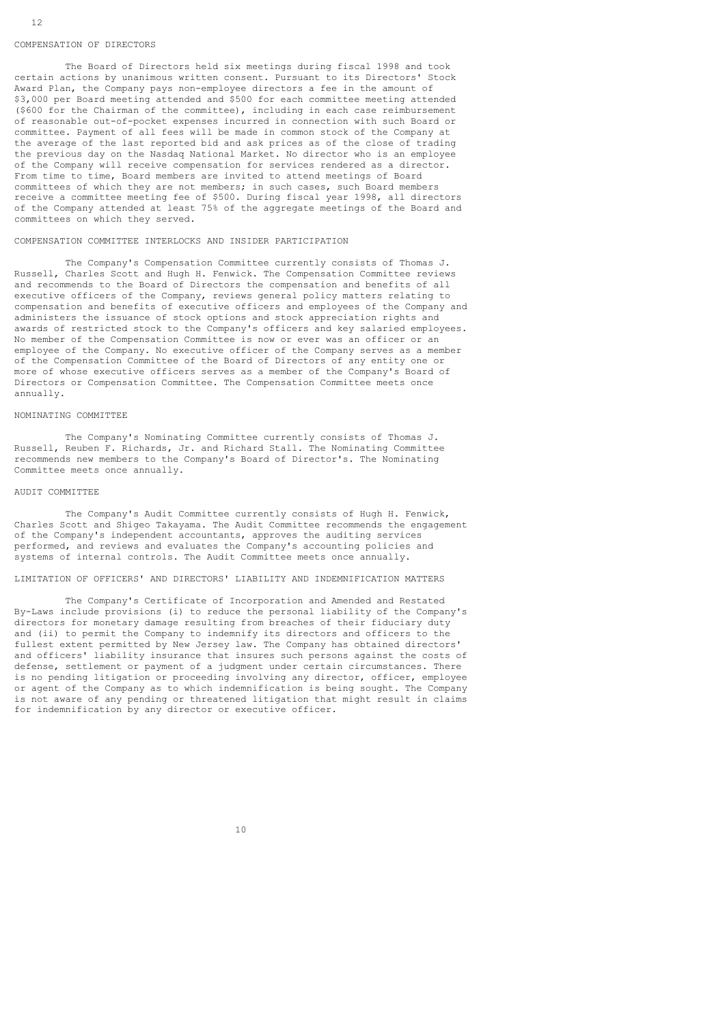#### COMPENSATION OF DIRECTORS

 The Board of Directors held six meetings during fiscal 1998 and took certain actions by unanimous written consent. Pursuant to its Directors' Stock Award Plan, the Company pays non-employee directors a fee in the amount of \$3,000 per Board meeting attended and \$500 for each committee meeting attended (\$600 for the Chairman of the committee), including in each case reimbursement of reasonable out-of-pocket expenses incurred in connection with such Board or committee. Payment of all fees will be made in common stock of the Company at the average of the last reported bid and ask prices as of the close of trading the previous day on the Nasdaq National Market. No director who is an employee of the Company will receive compensation for services rendered as a director. From time to time, Board members are invited to attend meetings of Board committees of which they are not members; in such cases, such Board members receive a committee meeting fee of \$500. During fiscal year 1998, all directors of the Company attended at least 75% of the aggregate meetings of the Board and committees on which they served.

### COMPENSATION COMMITTEE INTERLOCKS AND INSIDER PARTICIPATION

 The Company's Compensation Committee currently consists of Thomas J. Russell, Charles Scott and Hugh H. Fenwick. The Compensation Committee reviews and recommends to the Board of Directors the compensation and benefits of all executive officers of the Company, reviews general policy matters relating to compensation and benefits of executive officers and employees of the Company and administers the issuance of stock options and stock appreciation rights and awards of restricted stock to the Company's officers and key salaried employees. No member of the Compensation Committee is now or ever was an officer or an employee of the Company. No executive officer of the Company serves as a member of the Compensation Committee of the Board of Directors of any entity one or more of whose executive officers serves as a member of the Company's Board of Directors or Compensation Committee. The Compensation Committee meets once annually.

#### NOMINATING COMMITTEE

 The Company's Nominating Committee currently consists of Thomas J. Russell, Reuben F. Richards, Jr. and Richard Stall. The Nominating Committee recommends new members to the Company's Board of Director's. The Nominating Committee meets once annually.

#### AUDIT COMMITTEE

 The Company's Audit Committee currently consists of Hugh H. Fenwick, Charles Scott and Shigeo Takayama. The Audit Committee recommends the engagement of the Company's independent accountants, approves the auditing services performed, and reviews and evaluates the Company's accounting policies and systems of internal controls. The Audit Committee meets once annually.

## LIMITATION OF OFFICERS' AND DIRECTORS' LIABILITY AND INDEMNIFICATION MATTERS

 The Company's Certificate of Incorporation and Amended and Restated By-Laws include provisions (i) to reduce the personal liability of the Company's directors for monetary damage resulting from breaches of their fiduciary duty and (ii) to permit the Company to indemnify its directors and officers to the fullest extent permitted by New Jersey law. The Company has obtained directors' and officers' liability insurance that insures such persons against the costs of defense, settlement or payment of a judgment under certain circumstances. There is no pending litigation or proceeding involving any director, officer, employee or agent of the Company as to which indemnification is being sought. The Company is not aware of any pending or threatened litigation that might result in claims for indemnification by any director or executive officer.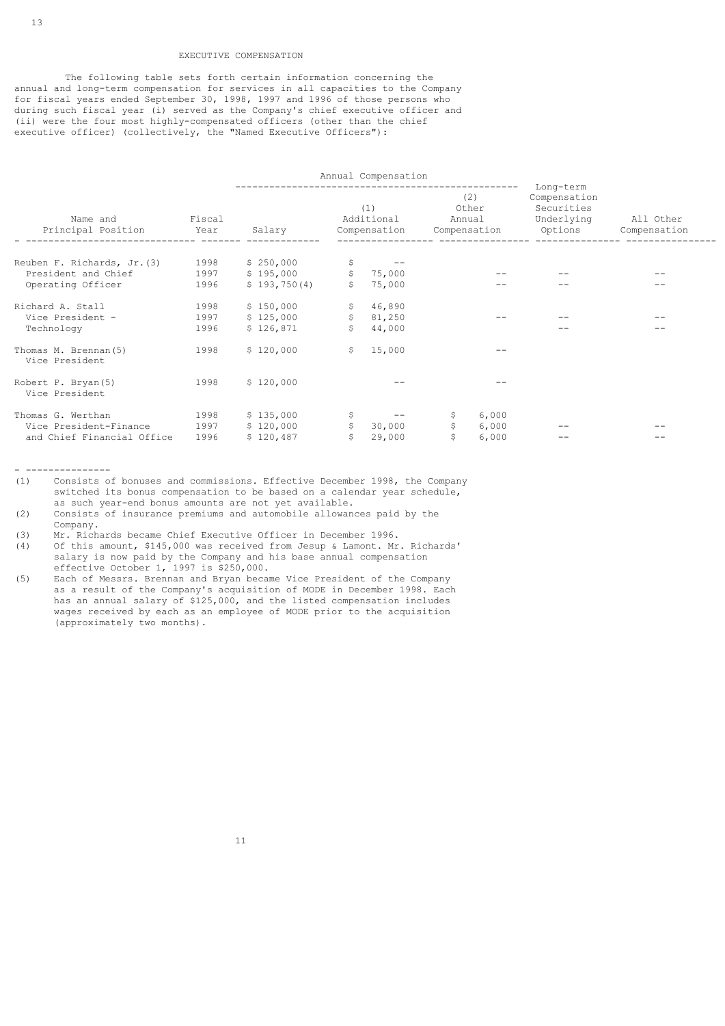### EXECUTIVE COMPENSATION

 The following table sets forth certain information concerning the annual and long-term compensation for services in all capacities to the Company for fiscal years ended September 30, 1998, 1997 and 1996 of those persons who during such fiscal year (i) served as the Company's chief executive officer and (ii) were the four most highly-compensated officers (other than the chief executive officer) (collectively, the "Named Executive Officers"):

| Annual Compensation                    |                |              |                     |                                   |                        |                                |                                                                  |                           |
|----------------------------------------|----------------|--------------|---------------------|-----------------------------------|------------------------|--------------------------------|------------------------------------------------------------------|---------------------------|
| Name and<br>Principal Position         | Fiscal<br>Year | Salary       |                     | (1)<br>Additional<br>Compensation | Annual<br>Compensation | --------------<br>(2)<br>Other | Long-term<br>Compensation<br>Securities<br>Underlying<br>Options | All Other<br>Compensation |
| Reuben F. Richards, Jr. (3)            | 1998           | \$250,000    | \$                  | $ -$                              |                        |                                |                                                                  |                           |
| President and Chief                    | 1997           | \$195,000    |                     | \$75,000                          |                        |                                |                                                                  |                           |
| Operating Officer                      | 1996           | \$193,750(4) |                     | 75,000                            |                        |                                |                                                                  |                           |
| Richard A. Stall                       | 1998           | \$150,000    |                     | \$46,890                          |                        |                                |                                                                  |                           |
| Vice President -                       | 1997           | \$125,000    |                     | \$81,250                          |                        |                                |                                                                  |                           |
| Technology                             | 1996           | \$126,871    | Ŝ                   | 44,000                            |                        |                                |                                                                  |                           |
| Thomas M. Brennan(5)<br>Vice President | 1998           | \$120,000    | \$                  | 15,000                            |                        |                                |                                                                  |                           |
| Robert P. Bryan (5)<br>Vice President  | 1998           | \$120,000    |                     |                                   |                        |                                |                                                                  |                           |
| Thomas G. Werthan                      | 1998           | \$135,000    |                     | $ -$                              | Ş.                     | 6,000                          |                                                                  |                           |
| Vice President-Finance                 | 1997           | \$120,000    | $\ddot{\mathsf{s}}$ | 30,000                            | \$                     | 6,000                          |                                                                  |                           |
| and Chief Financial Office             | 1996           | \$120,487    | Ŝ.                  | 29,000                            | Ś                      | 6,000                          | $- -$                                                            |                           |

- ---------------

- (1) Consists of bonuses and commissions. Effective December 1998, the Company switched its bonus compensation to be based on a calendar year schedule, as such year-end bonus amounts are not yet available.<br>(2) Consists of insurance premiums and automobile allowan
- (2) Consists of insurance premiums and automobile allowances paid by the Company.
- (3) Mr. Richards became Chief Executive Officer in December 1996.
- (4) Of this amount, \$145,000 was received from Jesup & Lamont. Mr. Richards' salary is now paid by the Company and his base annual compensation effective October 1, 1997 is \$250,000.<br>(5) Each of Messrs. Brennan and Brvan becan
- Each of Messrs. Brennan and Bryan became Vice President of the Company as a result of the Company's acquisition of MODE in December 1998. Each has an annual salary of \$125,000, and the listed compensation includes wages received by each as an employee of MODE prior to the acquisition (approximately two months).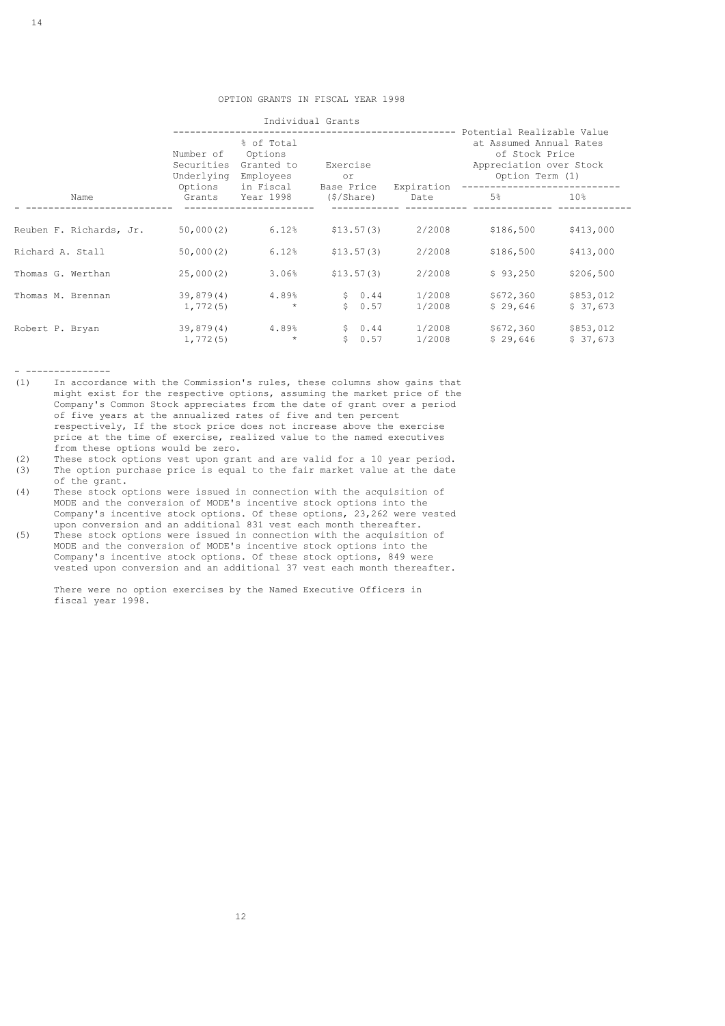|                         | Number of<br>Securities | % of Total<br>Options<br>Granted to<br>Underlying<br>Employees<br>Options<br>in Fiscal |                            | Exercise<br>or     |                       | ---------- Potential Realizable Value<br>at Assumed Annual Rates<br>of Stock Price<br>Appreciation over Stock<br>Option Term (1) |  |
|-------------------------|-------------------------|----------------------------------------------------------------------------------------|----------------------------|--------------------|-----------------------|----------------------------------------------------------------------------------------------------------------------------------|--|
| Name                    | Grants                  | Year 1998                                                                              | Base Price<br>$(\$/Share)$ | Expiration<br>Date | 5%                    | 10%                                                                                                                              |  |
| Reuben F. Richards, Jr. | 50,000(2)               | 6.12%                                                                                  | \$13.57(3)                 | 2/2008             | \$186,500             | \$413,000                                                                                                                        |  |
| Richard A. Stall        | 50,000(2)               | 6.12%                                                                                  | \$13.57(3)                 | 2/2008             | \$186,500             | \$413,000                                                                                                                        |  |
| Thomas G. Werthan       | 25,000(2)               | 3.06%                                                                                  | \$13.57(3)                 | 2/2008             | \$93,250              | \$206,500                                                                                                                        |  |
| Thomas M. Brennan       | 39,879(4)<br>1,772(5)   | 4.89%<br>$\star$                                                                       | \$0.44<br>S.<br>0.57       | 1/2008<br>1/2008   | \$672,360<br>\$29,646 | \$853,012<br>\$37,673                                                                                                            |  |
| Robert P. Bryan         | 39,879(4)<br>1,772(5)   | 4.89%<br>$\star$                                                                       | \$0.44<br>S.<br>0.57       | 1/2008<br>1/2008   | \$672,360<br>\$29,646 | \$853,012<br>\$37,673                                                                                                            |  |

- ---------------<br>(1) In accorda

- In accordance with the Commission's rules, these columns show gains that might exist for the respective options, assuming the market price of the Company's Common Stock appreciates from the date of grant over a period of five years at the annualized rates of five and ten percent respectively, If the stock price does not increase above the exercise price at the time of exercise, realized value to the named executives from these options would be zero.<br>(2) These stock options vest upon gra
- These stock options vest upon grant and are valid for a 10 year period.
- (3) The option purchase price is equal to the fair market value at the date
- of the grant.<br>(4) These stock of These stock options were issued in connection with the acquisition of MODE and the conversion of MODE's incentive stock options into the Company's incentive stock options. Of these options, 23,262 were vested upon conversion and an additional 831 vest each month thereafter.<br>(5) These stock options were issued in connection with the acquisition
- These stock options were issued in connection with the acquisition of MODE and the conversion of MODE's incentive stock options into the Company's incentive stock options. Of these stock options, 849 were vested upon conversion and an additional 37 vest each month thereafter.

 There were no option exercises by the Named Executive Officers in fiscal year 1998.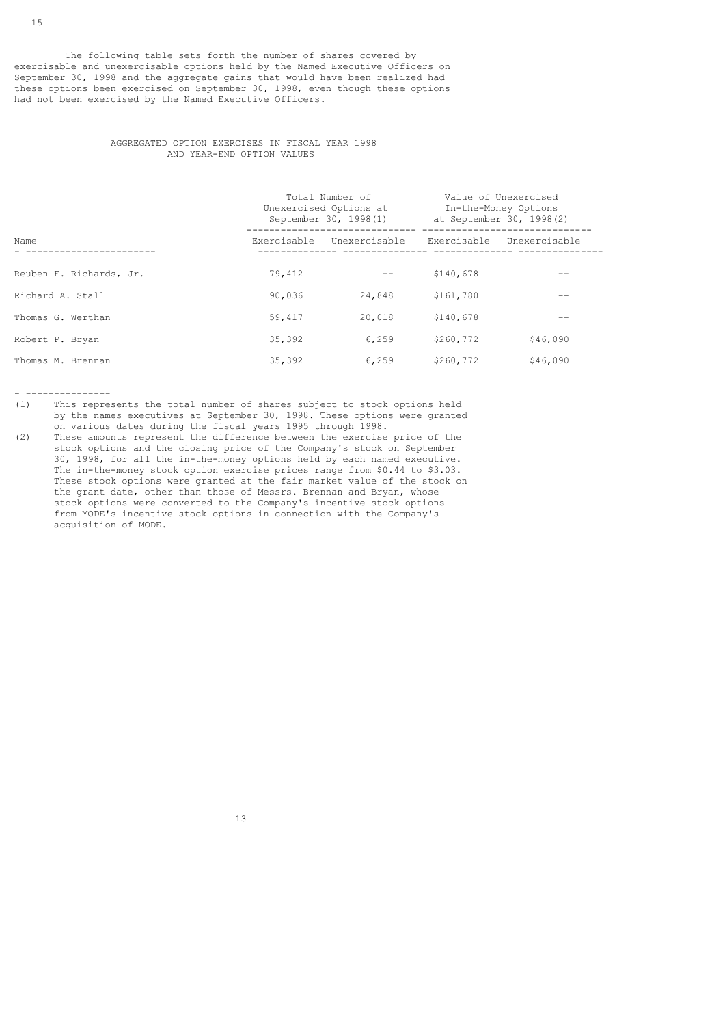The following table sets forth the number of shares covered by exercisable and unexercisable options held by the Named Executive Officers on September 30, 1998 and the aggregate gains that would have been realized had these options been exercised on September 30, 1998, even though these options had not been exercised by the Named Executive Officers.

### AGGREGATED OPTION EXERCISES IN FISCAL YEAR 1998 AND YEAR-END OPTION VALUES

|                         |             | Total Number of<br>Unexercised Options at<br>September 30, 1998(1) | Value of Unexercised<br>In-the-Money Options<br>at September 30, 1998(2) |               |
|-------------------------|-------------|--------------------------------------------------------------------|--------------------------------------------------------------------------|---------------|
| Name                    | Exercisable | Unexercisable                                                      | Exercisable                                                              | Unexercisable |
| Reuben F. Richards, Jr. | 79,412      |                                                                    | \$140,678                                                                |               |
| Richard A. Stall        | 90,036      | 24,848                                                             | \$161,780                                                                | --            |
| Thomas G. Werthan       | 59,417      | 20,018                                                             | \$140,678                                                                | --            |
| Robert P. Bryan         | 35,392      | 6,259                                                              | \$260,772                                                                | \$46,090      |
| Thomas M. Brennan       | 35,392      | 6,259                                                              | \$260,772                                                                | \$46,090      |

- ---------------

- (1) This represents the total number of shares subject to stock options held by the names executives at September 30, 1998. These options were granted
- on various dates during the fiscal years 1995 through 1998. These amounts represent the difference between the exercise price of the stock options and the closing price of the Company's stock on September 30, 1998, for all the in-the-money options held by each named executive. The in-the-money stock option exercise prices range from \$0.44 to \$3.03. These stock options were granted at the fair market value of the stock on the grant date, other than those of Messrs. Brennan and Bryan, whose stock options were converted to the Company's incentive stock options from MODE's incentive stock options in connection with the Company's acquisition of MODE.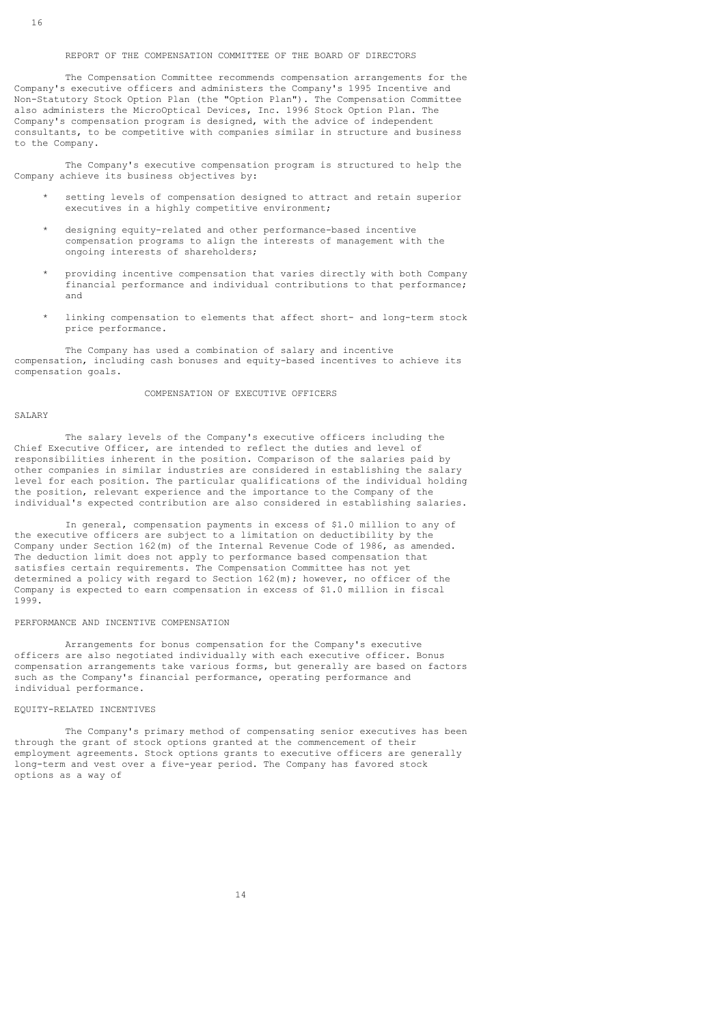#### REPORT OF THE COMPENSATION COMMITTEE OF THE BOARD OF DIRECTORS

 The Compensation Committee recommends compensation arrangements for the Company's executive officers and administers the Company's 1995 Incentive and Non-Statutory Stock Option Plan (the "Option Plan"). The Compensation Committee also administers the MicroOptical Devices, Inc. 1996 Stock Option Plan. The Company's compensation program is designed, with the advice of independent consultants, to be competitive with companies similar in structure and business to the Company.

 The Company's executive compensation program is structured to help the Company achieve its business objectives by:

- setting levels of compensation designed to attract and retain superior executives in a highly competitive environment;
- designing equity-related and other performance-based incentive compensation programs to align the interests of management with the ongoing interests of shareholders;
- providing incentive compensation that varies directly with both Company financial performance and individual contributions to that performance; and
- linking compensation to elements that affect short- and long-term stock price performance.

 The Company has used a combination of salary and incentive compensation, including cash bonuses and equity-based incentives to achieve its compensation goals.

### COMPENSATION OF EXECUTIVE OFFICERS

#### SALARY

 The salary levels of the Company's executive officers including the Chief Executive Officer, are intended to reflect the duties and level of responsibilities inherent in the position. Comparison of the salaries paid by other companies in similar industries are considered in establishing the salary level for each position. The particular qualifications of the individual holding the position, relevant experience and the importance to the Company of the individual's expected contribution are also considered in establishing salaries.

 In general, compensation payments in excess of \$1.0 million to any of the executive officers are subject to a limitation on deductibility by the Company under Section 162(m) of the Internal Revenue Code of 1986, as amended. The deduction limit does not apply to performance based compensation that satisfies certain requirements. The Compensation Committee has not yet determined a policy with regard to Section 162(m); however, no officer of the Company is expected to earn compensation in excess of \$1.0 million in fiscal 1999.

#### PERFORMANCE AND INCENTIVE COMPENSATION

 Arrangements for bonus compensation for the Company's executive officers are also negotiated individually with each executive officer. Bonus compensation arrangements take various forms, but generally are based on factors such as the Company's financial performance, operating performance and individual performance.

#### EQUITY-RELATED INCENTIVES

 The Company's primary method of compensating senior executives has been through the grant of stock options granted at the commencement of their employment agreements. Stock options grants to executive officers are generally long-term and vest over a five-year period. The Company has favored stock options as a way of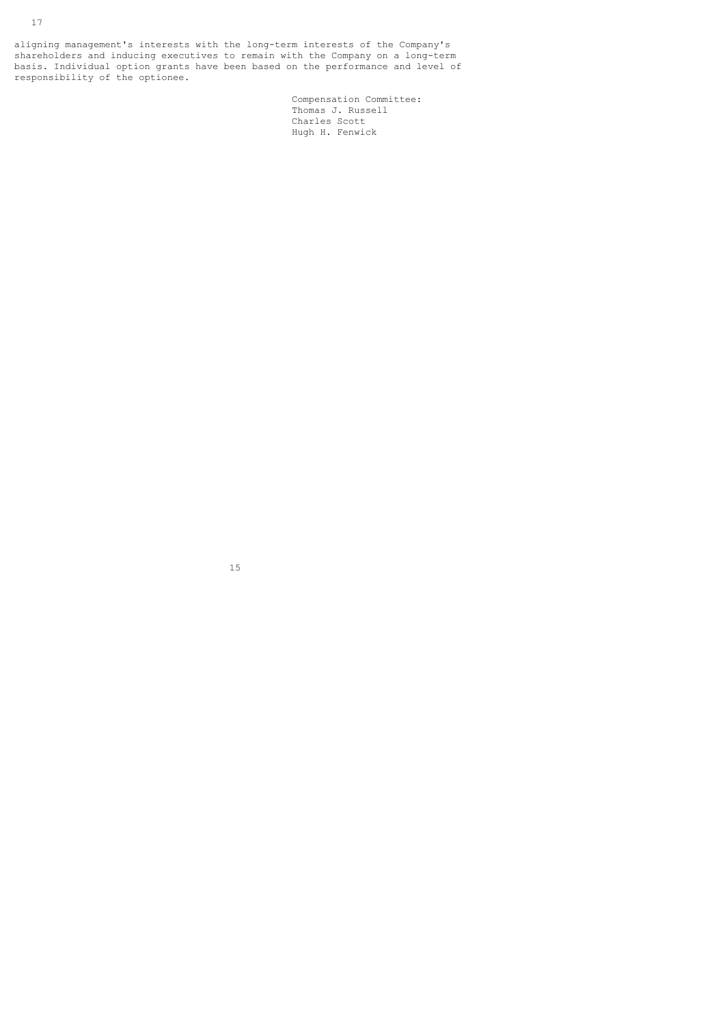aligning management's interests with the long-term interests of the Company's shareholders and inducing executives to remain with the Company on a long-term basis. Individual option grants have been based on the performance and level of responsibility of the optionee.

 Compensation Committee: Thomas J. Russell **Charles Scott** Charles Scott Charles Scott Charles Scott Charles Scott Charles Scott Charles Scott Charles Scott Charles Scott Charles Scott Charles Scott Charles Scott Charles Scott Charles Scott Charles Scott Charles Sc Hugh H. Fenwick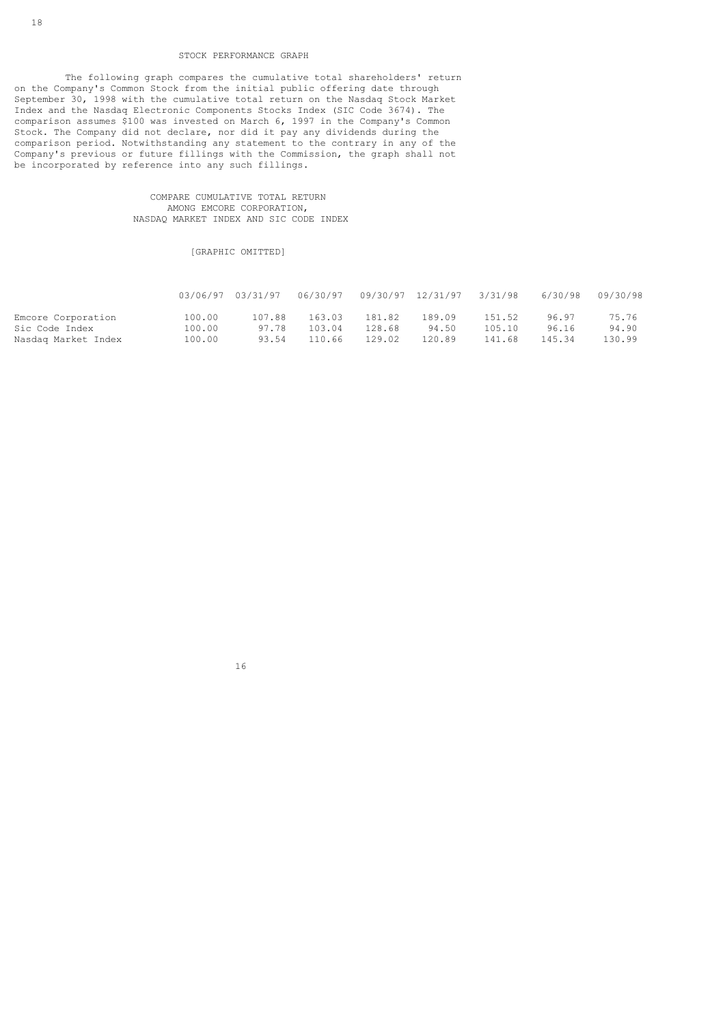### STOCK PERFORMANCE GRAPH

 The following graph compares the cumulative total shareholders' return on the Company's Common Stock from the initial public offering date through September 30, 1998 with the cumulative total return on the Nasdaq Stock Market Index and the Nasdaq Electronic Components Stocks Index (SIC Code 3674). The comparison assumes \$100 was invested on March 6, 1997 in the Company's Common Stock. The Company did not declare, nor did it pay any dividends during the comparison period. Notwithstanding any statement to the contrary in any of the Company's previous or future fillings with the Commission, the graph shall not be incorporated by reference into any such fillings.

### COMPARE CUMULATIVE TOTAL RETURN AMONG EMCORE CORPORATION, NASDAQ MARKET INDEX AND SIC CODE INDEX

### [GRAPHIC OMITTED]

|                     |        | 03/06/97 03/31/97 |        |        |        |        |        | 6/30/98 09/30/98 |
|---------------------|--------|-------------------|--------|--------|--------|--------|--------|------------------|
| Emcore Corporation  | 100.00 | 107.88            | 163.03 | 181.82 | 189.09 | 151.52 | 96.97  | 75.76            |
| Sic Code Index      | 100.00 | 97.78             | 103.04 | 128.68 | 94.50  | 105.10 | 96.16  | 94.90            |
| Nasdaq Market Index | 100.00 | 93.54             | 110.66 | 129.02 | 120.89 | 141.68 | 145.34 | 130.99           |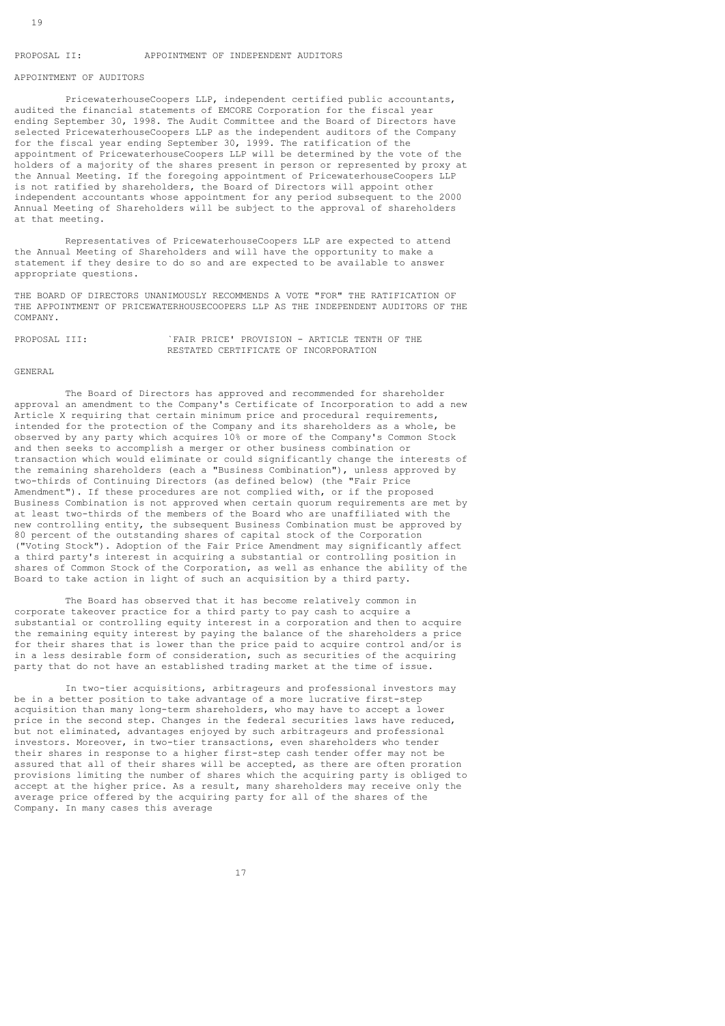### PROPOSAL II: APPOINTMENT OF INDEPENDENT AUDITORS

# APPOINTMENT OF AUDITORS

 PricewaterhouseCoopers LLP, independent certified public accountants, audited the financial statements of EMCORE Corporation for the fiscal year ending September 30, 1998. The Audit Committee and the Board of Directors have selected PricewaterhouseCoopers LLP as the independent auditors of the Company for the fiscal year ending September 30, 1999. The ratification of the appointment of PricewaterhouseCoopers LLP will be determined by the vote of the holders of a majority of the shares present in person or represented by proxy at the Annual Meeting. If the foregoing appointment of PricewaterhouseCoopers LLP is not ratified by shareholders, the Board of Directors will appoint other independent accountants whose appointment for any period subsequent to the 2000 Annual Meeting of Shareholders will be subject to the approval of shareholders at that meeting.

 Representatives of PricewaterhouseCoopers LLP are expected to attend the Annual Meeting of Shareholders and will have the opportunity to make a statement if they desire to do so and are expected to be available to answer appropriate questions.

THE BOARD OF DIRECTORS UNANIMOUSLY RECOMMENDS A VOTE "FOR" THE RATIFICATION OF THE APPOINTMENT OF PRICEWATERHOUSECOOPERS LLP AS THE INDEPENDENT AUDITORS OF THE COMPANY.

PROPOSAL III: `FAIR PRICE' PROVISION - ARTICLE TENTH OF THE RESTATED CERTIFICATE OF INCORPORATION

#### GENERAL

 The Board of Directors has approved and recommended for shareholder approval an amendment to the Company's Certificate of Incorporation to add a new Article X requiring that certain minimum price and procedural requirements, intended for the protection of the Company and its shareholders as a whole, be observed by any party which acquires 10% or more of the Company's Common Stock and then seeks to accomplish a merger or other business combination or transaction which would eliminate or could significantly change the interests of the remaining shareholders (each a "Business Combination"), unless approved by two-thirds of Continuing Directors (as defined below) (the "Fair Price Amendment"). If these procedures are not complied with, or if the proposed Business Combination is not approved when certain quorum requirements are met by at least two-thirds of the members of the Board who are unaffiliated with the new controlling entity, the subsequent Business Combination must be approved by 80 percent of the outstanding shares of capital stock of the Corporation ("Voting Stock"). Adoption of the Fair Price Amendment may significantly affect a third party's interest in acquiring a substantial or controlling position in shares of Common Stock of the Corporation, as well as enhance the ability of the Board to take action in light of such an acquisition by a third party.

 The Board has observed that it has become relatively common in corporate takeover practice for a third party to pay cash to acquire a substantial or controlling equity interest in a corporation and then to acquire the remaining equity interest by paying the balance of the shareholders a price for their shares that is lower than the price paid to acquire control and/or is in a less desirable form of consideration, such as securities of the acquiring party that do not have an established trading market at the time of issue.

 In two-tier acquisitions, arbitrageurs and professional investors may be in a better position to take advantage of a more lucrative first-step acquisition than many long-term shareholders, who may have to accept a lower price in the second step. Changes in the federal securities laws have reduced, but not eliminated, advantages enjoyed by such arbitrageurs and professional investors. Moreover, in two-tier transactions, even shareholders who tender their shares in response to a higher first-step cash tender offer may not be assured that all of their shares will be accepted, as there are often proration provisions limiting the number of shares which the acquiring party is obliged to accept at the higher price. As a result, many shareholders may receive only the average price offered by the acquiring party for all of the shares of the Company. In many cases this average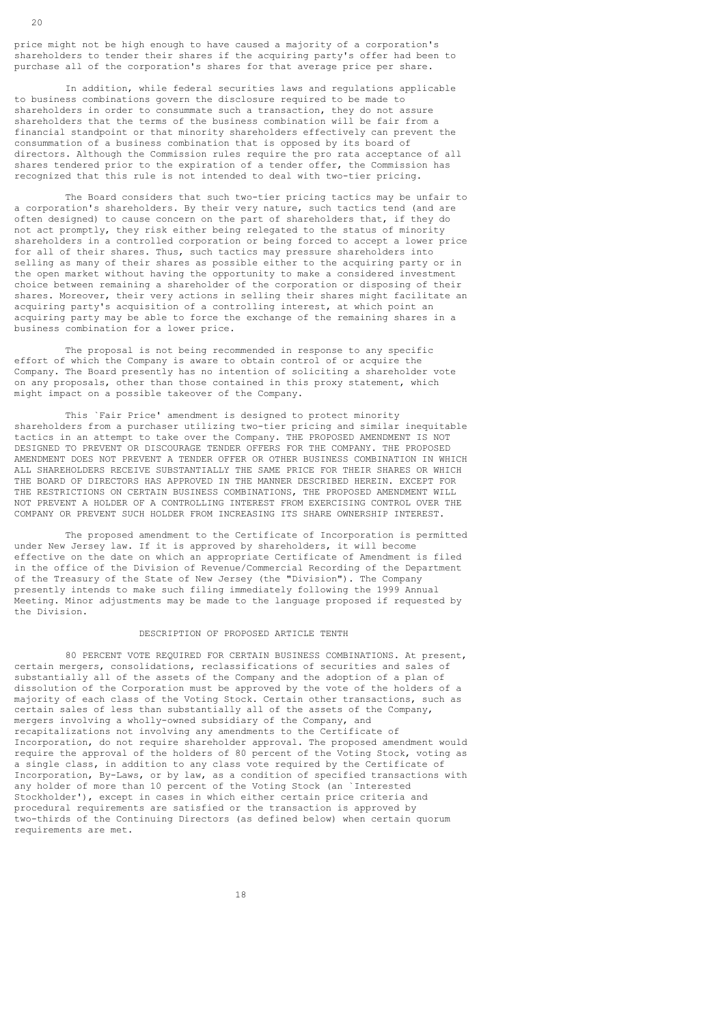price might not be high enough to have caused a majority of a corporation's shareholders to tender their shares if the acquiring party's offer had been to purchase all of the corporation's shares for that average price per share.

 In addition, while federal securities laws and regulations applicable to business combinations govern the disclosure required to be made to shareholders in order to consummate such a transaction, they do not assure shareholders that the terms of the business combination will be fair from a financial standpoint or that minority shareholders effectively can prevent the consummation of a business combination that is opposed by its board of directors. Although the Commission rules require the pro rata acceptance of all shares tendered prior to the expiration of a tender offer, the Commission has recognized that this rule is not intended to deal with two-tier pricing.

 The Board considers that such two-tier pricing tactics may be unfair to a corporation's shareholders. By their very nature, such tactics tend (and are often designed) to cause concern on the part of shareholders that, if they do not act promptly, they risk either being relegated to the status of minority shareholders in a controlled corporation or being forced to accept a lower price for all of their shares. Thus, such tactics may pressure shareholders into selling as many of their shares as possible either to the acquiring party or in the open market without having the opportunity to make a considered investment choice between remaining a shareholder of the corporation or disposing of their shares. Moreover, their very actions in selling their shares might facilitate an acquiring party's acquisition of a controlling interest, at which point an acquiring party may be able to force the exchange of the remaining shares in a business combination for a lower price.

 The proposal is not being recommended in response to any specific effort of which the Company is aware to obtain control of or acquire the Company. The Board presently has no intention of soliciting a shareholder vote on any proposals, other than those contained in this proxy statement, which might impact on a possible takeover of the Company.

 This `Fair Price' amendment is designed to protect minority shareholders from a purchaser utilizing two-tier pricing and similar inequitable tactics in an attempt to take over the Company. THE PROPOSED AMENDMENT IS NOT DESIGNED TO PREVENT OR DISCOURAGE TENDER OFFERS FOR THE COMPANY. THE PROPOSED AMENDMENT DOES NOT PREVENT A TENDER OFFER OR OTHER BUSINESS COMBINATION IN WHICH ALL SHAREHOLDERS RECEIVE SUBSTANTIALLY THE SAME PRICE FOR THEIR SHARES OR WHICH THE BOARD OF DIRECTORS HAS APPROVED IN THE MANNER DESCRIBED HEREIN. EXCEPT FOR THE RESTRICTIONS ON CERTAIN BUSINESS COMBINATIONS, THE PROPOSED AMENDMENT WILL NOT PREVENT A HOLDER OF A CONTROLLING INTEREST FROM EXERCISING CONTROL OVER THE COMPANY OR PREVENT SUCH HOLDER FROM INCREASING ITS SHARE OWNERSHIP INTEREST.

 The proposed amendment to the Certificate of Incorporation is permitted under New Jersey law. If it is approved by shareholders, it will become effective on the date on which an appropriate Certificate of Amendment is filed in the office of the Division of Revenue/Commercial Recording of the Department of the Treasury of the State of New Jersey (the "Division"). The Company presently intends to make such filing immediately following the 1999 Annual Meeting. Minor adjustments may be made to the language proposed if requested by the Division.

#### DESCRIPTION OF PROPOSED ARTICLE TENTH

 80 PERCENT VOTE REQUIRED FOR CERTAIN BUSINESS COMBINATIONS. At present, certain mergers, consolidations, reclassifications of securities and sales of substantially all of the assets of the Company and the adoption of a plan of dissolution of the Corporation must be approved by the vote of the holders of a majority of each class of the Voting Stock. Certain other transactions, such as certain sales of less than substantially all of the assets of the Company, mergers involving a wholly-owned subsidiary of the Company, and recapitalizations not involving any amendments to the Certificate of Incorporation, do not require shareholder approval. The proposed amendment would require the approval of the holders of 80 percent of the Voting Stock, voting as a single class, in addition to any class vote required by the Certificate of Incorporation, By-Laws, or by law, as a condition of specified transactions with any holder of more than 10 percent of the Voting Stock (an `Interested Stockholder'), except in cases in which either certain price criteria and procedural requirements are satisfied or the transaction is approved by two-thirds of the Continuing Directors (as defined below) when certain quorum requirements are met.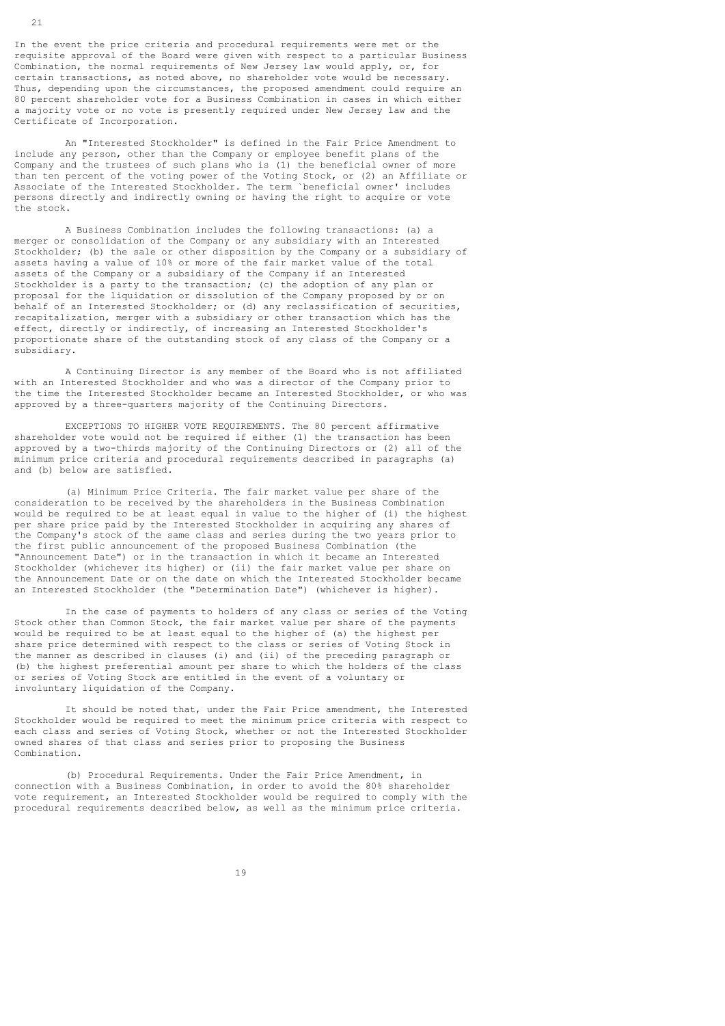In the event the price criteria and procedural requirements were met or the requisite approval of the Board were given with respect to a particular Business Combination, the normal requirements of New Jersey law would apply, or, for certain transactions, as noted above, no shareholder vote would be necessary. Thus, depending upon the circumstances, the proposed amendment could require an 80 percent shareholder vote for a Business Combination in cases in which either a majority vote or no vote is presently required under New Jersey law and the Certificate of Incorporation.

 An "Interested Stockholder" is defined in the Fair Price Amendment to include any person, other than the Company or employee benefit plans of the Company and the trustees of such plans who is (1) the beneficial owner of more than ten percent of the voting power of the Voting Stock, or (2) an Affiliate or Associate of the Interested Stockholder. The term `beneficial owner' includes persons directly and indirectly owning or having the right to acquire or vote the stock.

 A Business Combination includes the following transactions: (a) a merger or consolidation of the Company or any subsidiary with an Interested Stockholder; (b) the sale or other disposition by the Company or a subsidiary of assets having a value of 10% or more of the fair market value of the total assets of the Company or a subsidiary of the Company if an Interested Stockholder is a party to the transaction; (c) the adoption of any plan or proposal for the liquidation or dissolution of the Company proposed by or on behalf of an Interested Stockholder; or (d) any reclassification of securities, recapitalization, merger with a subsidiary or other transaction which has the effect, directly or indirectly, of increasing an Interested Stockholder's proportionate share of the outstanding stock of any class of the Company or a subsidiary.

 A Continuing Director is any member of the Board who is not affiliated with an Interested Stockholder and who was a director of the Company prior to the time the Interested Stockholder became an Interested Stockholder, or who was approved by a three-quarters majority of the Continuing Directors.

 EXCEPTIONS TO HIGHER VOTE REQUIREMENTS. The 80 percent affirmative shareholder vote would not be required if either (1) the transaction has been approved by a two-thirds majority of the Continuing Directors or (2) all of the minimum price criteria and procedural requirements described in paragraphs (a) and (b) below are satisfied.

 (a) Minimum Price Criteria. The fair market value per share of the consideration to be received by the shareholders in the Business Combination would be required to be at least equal in value to the higher of (i) the highest per share price paid by the Interested Stockholder in acquiring any shares of the Company's stock of the same class and series during the two years prior to the first public announcement of the proposed Business Combination (the "Announcement Date") or in the transaction in which it became an Interested Stockholder (whichever its higher) or (ii) the fair market value per share on the Announcement Date or on the date on which the Interested Stockholder became an Interested Stockholder (the "Determination Date") (whichever is higher).

 In the case of payments to holders of any class or series of the Voting Stock other than Common Stock, the fair market value per share of the payments would be required to be at least equal to the higher of (a) the highest per share price determined with respect to the class or series of Voting Stock in the manner as described in clauses (i) and (ii) of the preceding paragraph or (b) the highest preferential amount per share to which the holders of the class or series of Voting Stock are entitled in the event of a voluntary or involuntary liquidation of the Company.

 It should be noted that, under the Fair Price amendment, the Interested Stockholder would be required to meet the minimum price criteria with respect to each class and series of Voting Stock, whether or not the Interested Stockholder owned shares of that class and series prior to proposing the Business Combination.

 (b) Procedural Requirements. Under the Fair Price Amendment, in connection with a Business Combination, in order to avoid the 80% shareholder vote requirement, an Interested Stockholder would be required to comply with the procedural requirements described below, as well as the minimum price criteria.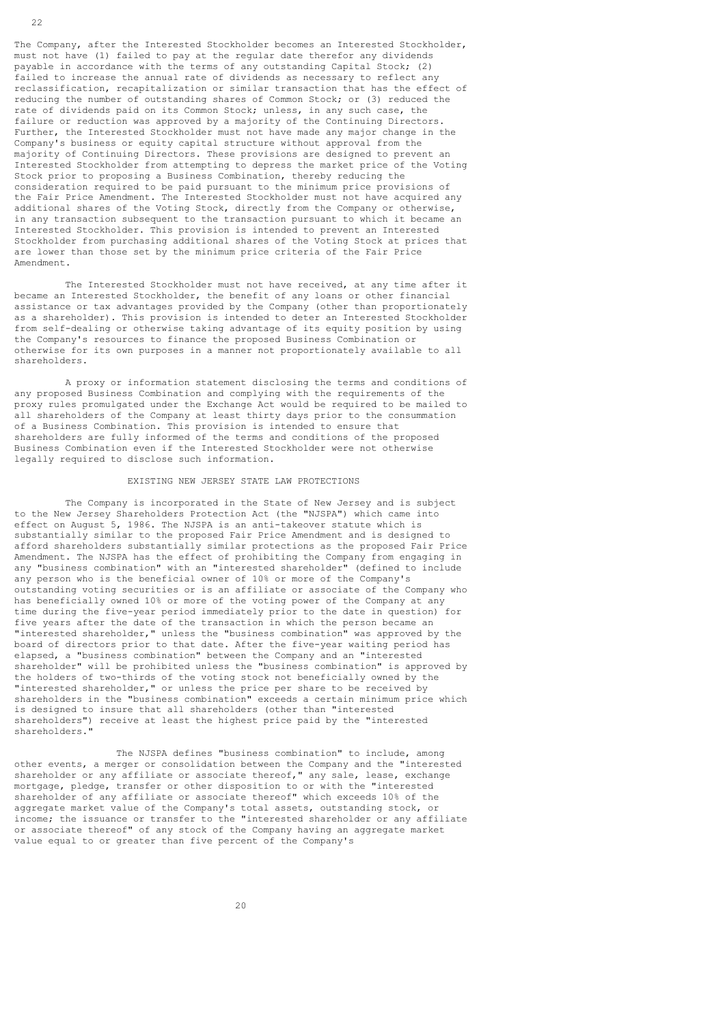The Company, after the Interested Stockholder becomes an Interested Stockholder, must not have (1) failed to pay at the regular date therefor any dividends payable in accordance with the terms of any outstanding Capital Stock; (2) failed to increase the annual rate of dividends as necessary to reflect any reclassification, recapitalization or similar transaction that has the effect of reducing the number of outstanding shares of Common Stock; or (3) reduced the rate of dividends paid on its Common Stock; unless, in any such case, the failure or reduction was approved by a majority of the Continuing Directors. Further, the Interested Stockholder must not have made any major change in the Company's business or equity capital structure without approval from the majority of Continuing Directors. These provisions are designed to prevent an Interested Stockholder from attempting to depress the market price of the Voting Stock prior to proposing a Business Combination, thereby reducing the consideration required to be paid pursuant to the minimum price provisions of the Fair Price Amendment. The Interested Stockholder must not have acquired any additional shares of the Voting Stock, directly from the Company or otherwise, in any transaction subsequent to the transaction pursuant to which it became an Interested Stockholder. This provision is intended to prevent an Interested Stockholder from purchasing additional shares of the Voting Stock at prices that are lower than those set by the minimum price criteria of the Fair Price Amendment.

 The Interested Stockholder must not have received, at any time after it became an Interested Stockholder, the benefit of any loans or other financial assistance or tax advantages provided by the Company (other than proportionately as a shareholder). This provision is intended to deter an Interested Stockholder from self-dealing or otherwise taking advantage of its equity position by using the Company's resources to finance the proposed Business Combination or otherwise for its own purposes in a manner not proportionately available to all shareholders.

 A proxy or information statement disclosing the terms and conditions of any proposed Business Combination and complying with the requirements of the proxy rules promulgated under the Exchange Act would be required to be mailed to all shareholders of the Company at least thirty days prior to the consummation of a Business Combination. This provision is intended to ensure that shareholders are fully informed of the terms and conditions of the proposed Business Combination even if the Interested Stockholder were not otherwise legally required to disclose such information.

#### EXISTING NEW JERSEY STATE LAW PROTECTIONS

 The Company is incorporated in the State of New Jersey and is subject to the New Jersey Shareholders Protection Act (the "NJSPA") which came into effect on August 5, 1986. The NJSPA is an anti-takeover statute which is substantially similar to the proposed Fair Price Amendment and is designed to afford shareholders substantially similar protections as the proposed Fair Price Amendment. The NJSPA has the effect of prohibiting the Company from engaging in any "business combination" with an "interested shareholder" (defined to include any person who is the beneficial owner of 10% or more of the Company's outstanding voting securities or is an affiliate or associate of the Company who has beneficially owned 10% or more of the voting power of the Company at any time during the five-year period immediately prior to the date in question) for five years after the date of the transaction in which the person became an "interested shareholder," unless the "business combination" was approved by the board of directors prior to that date. After the five-year waiting period has elapsed, a "business combination" between the Company and an "interested shareholder" will be prohibited unless the "business combination" is approved by the holders of two-thirds of the voting stock not beneficially owned by the "interested shareholder," or unless the price per share to be received by shareholders in the "business combination" exceeds a certain minimum price which is designed to insure that all shareholders (other than "interested shareholders") receive at least the highest price paid by the "interested shareholders."

 The NJSPA defines "business combination" to include, among other events, a merger or consolidation between the Company and the "interested shareholder or any affiliate or associate thereof," any sale, lease, exchange mortgage, pledge, transfer or other disposition to or with the "interested shareholder of any affiliate or associate thereof" which exceeds 10% of the aggregate market value of the Company's total assets, outstanding stock, or income; the issuance or transfer to the "interested shareholder or any affiliate or associate thereof" of any stock of the Company having an aggregate market value equal to or greater than five percent of the Company's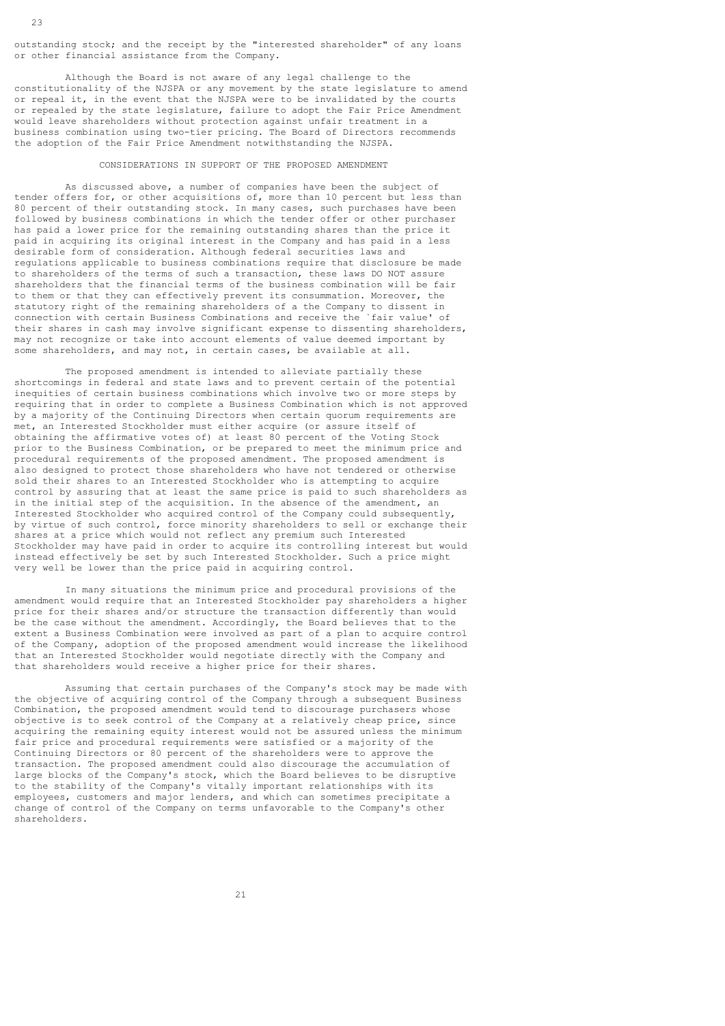outstanding stock; and the receipt by the "interested shareholder" of any loans or other financial assistance from the Company.

 Although the Board is not aware of any legal challenge to the constitutionality of the NJSPA or any movement by the state legislature to amend or repeal it, in the event that the NJSPA were to be invalidated by the courts or repealed by the state legislature, failure to adopt the Fair Price Amendment would leave shareholders without protection against unfair treatment in a business combination using two-tier pricing. The Board of Directors recommends the adoption of the Fair Price Amendment notwithstanding the NJSPA.

### CONSIDERATIONS IN SUPPORT OF THE PROPOSED AMENDMENT

 As discussed above, a number of companies have been the subject of tender offers for, or other acquisitions of, more than 10 percent but less than 80 percent of their outstanding stock. In many cases, such purchases have been followed by business combinations in which the tender offer or other purchaser has paid a lower price for the remaining outstanding shares than the price it paid in acquiring its original interest in the Company and has paid in a less desirable form of consideration. Although federal securities laws and regulations applicable to business combinations require that disclosure be made to shareholders of the terms of such a transaction, these laws DO NOT assure shareholders that the financial terms of the business combination will be fair to them or that they can effectively prevent its consummation. Moreover, the statutory right of the remaining shareholders of a the Company to dissent in connection with certain Business Combinations and receive the `fair value' of their shares in cash may involve significant expense to dissenting shareholders, may not recognize or take into account elements of value deemed important by some shareholders, and may not, in certain cases, be available at all.

 The proposed amendment is intended to alleviate partially these shortcomings in federal and state laws and to prevent certain of the potential inequities of certain business combinations which involve two or more steps by requiring that in order to complete a Business Combination which is not approved by a majority of the Continuing Directors when certain quorum requirements are met, an Interested Stockholder must either acquire (or assure itself of obtaining the affirmative votes of) at least 80 percent of the Voting Stock prior to the Business Combination, or be prepared to meet the minimum price and procedural requirements of the proposed amendment. The proposed amendment is also designed to protect those shareholders who have not tendered or otherwise sold their shares to an Interested Stockholder who is attempting to acquire control by assuring that at least the same price is paid to such shareholders as in the initial step of the acquisition. In the absence of the amendment, an Interested Stockholder who acquired control of the Company could subsequently, by virtue of such control, force minority shareholders to sell or exchange their shares at a price which would not reflect any premium such Interested Stockholder may have paid in order to acquire its controlling interest but would instead effectively be set by such Interested Stockholder. Such a price might very well be lower than the price paid in acquiring control.

 In many situations the minimum price and procedural provisions of the amendment would require that an Interested Stockholder pay shareholders a higher price for their shares and/or structure the transaction differently than would be the case without the amendment. Accordingly, the Board believes that to the extent a Business Combination were involved as part of a plan to acquire control of the Company, adoption of the proposed amendment would increase the likelihood that an Interested Stockholder would negotiate directly with the Company and that shareholders would receive a higher price for their shares.

 Assuming that certain purchases of the Company's stock may be made with the objective of acquiring control of the Company through a subsequent Business Combination, the proposed amendment would tend to discourage purchasers whose objective is to seek control of the Company at a relatively cheap price, since acquiring the remaining equity interest would not be assured unless the minimum fair price and procedural requirements were satisfied or a majority of the Continuing Directors or 80 percent of the shareholders were to approve the transaction. The proposed amendment could also discourage the accumulation of large blocks of the Company's stock, which the Board believes to be disruptive to the stability of the Company's vitally important relationships with its employees, customers and major lenders, and which can sometimes precipitate a change of control of the Company on terms unfavorable to the Company's other shareholders.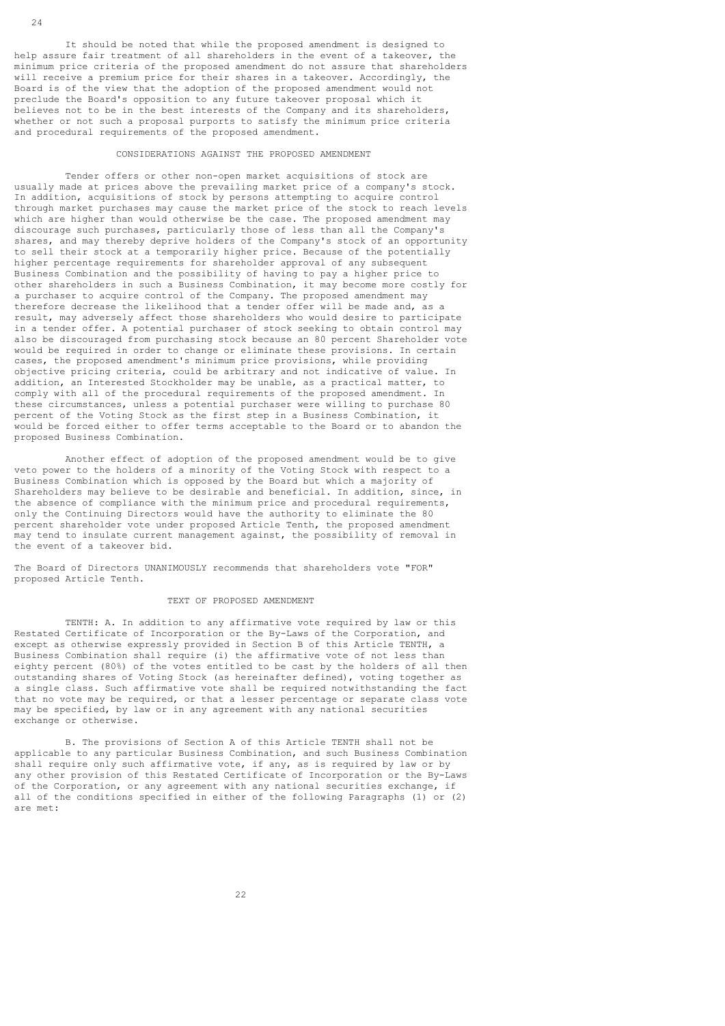It should be noted that while the proposed amendment is designed to help assure fair treatment of all shareholders in the event of a takeover, the minimum price criteria of the proposed amendment do not assure that shareholders will receive a premium price for their shares in a takeover. Accordingly, the Board is of the view that the adoption of the proposed amendment would not preclude the Board's opposition to any future takeover proposal which it believes not to be in the best interests of the Company and its shareholders, whether or not such a proposal purports to satisfy the minimum price criteria and procedural requirements of the proposed amendment.

### CONSIDERATIONS AGAINST THE PROPOSED AMENDMENT

 Tender offers or other non-open market acquisitions of stock are usually made at prices above the prevailing market price of a company's stock. In addition, acquisitions of stock by persons attempting to acquire control through market purchases may cause the market price of the stock to reach levels which are higher than would otherwise be the case. The proposed amendment may discourage such purchases, particularly those of less than all the Company's shares, and may thereby deprive holders of the Company's stock of an opportunity to sell their stock at a temporarily higher price. Because of the potentially higher percentage requirements for shareholder approval of any subsequent Business Combination and the possibility of having to pay a higher price to other shareholders in such a Business Combination, it may become more costly for a purchaser to acquire control of the Company. The proposed amendment may therefore decrease the likelihood that a tender offer will be made and, as a result, may adversely affect those shareholders who would desire to participate in a tender offer. A potential purchaser of stock seeking to obtain control may also be discouraged from purchasing stock because an 80 percent Shareholder vote would be required in order to change or eliminate these provisions. In certain cases, the proposed amendment's minimum price provisions, while providing objective pricing criteria, could be arbitrary and not indicative of value. In addition, an Interested Stockholder may be unable, as a practical matter, to comply with all of the procedural requirements of the proposed amendment. In these circumstances, unless a potential purchaser were willing to purchase 80 percent of the Voting Stock as the first step in a Business Combination, it would be forced either to offer terms acceptable to the Board or to abandon the proposed Business Combination.

 Another effect of adoption of the proposed amendment would be to give veto power to the holders of a minority of the Voting Stock with respect to a Business Combination which is opposed by the Board but which a majority of Shareholders may believe to be desirable and beneficial. In addition, since, in the absence of compliance with the minimum price and procedural requirements, only the Continuing Directors would have the authority to eliminate the 80 percent shareholder vote under proposed Article Tenth, the proposed amendment may tend to insulate current management against, the possibility of removal in the event of a takeover bid.

The Board of Directors UNANIMOUSLY recommends that shareholders vote "FOR" proposed Article Tenth.

#### TEXT OF PROPOSED AMENDMENT

 TENTH: A. In addition to any affirmative vote required by law or this Restated Certificate of Incorporation or the By-Laws of the Corporation, and except as otherwise expressly provided in Section B of this Article TENTH, a Business Combination shall require (i) the affirmative vote of not less than eighty percent (80%) of the votes entitled to be cast by the holders of all then outstanding shares of Voting Stock (as hereinafter defined), voting together as a single class. Such affirmative vote shall be required notwithstanding the fact that no vote may be required, or that a lesser percentage or separate class vote may be specified, by law or in any agreement with any national securities exchange or otherwise.

 B. The provisions of Section A of this Article TENTH shall not be applicable to any particular Business Combination, and such Business Combination shall require only such affirmative vote, if any, as is required by law or by any other provision of this Restated Certificate of Incorporation or the By-Laws of the Corporation, or any agreement with any national securities exchange, if all of the conditions specified in either of the following Paragraphs (1) or (2) are met: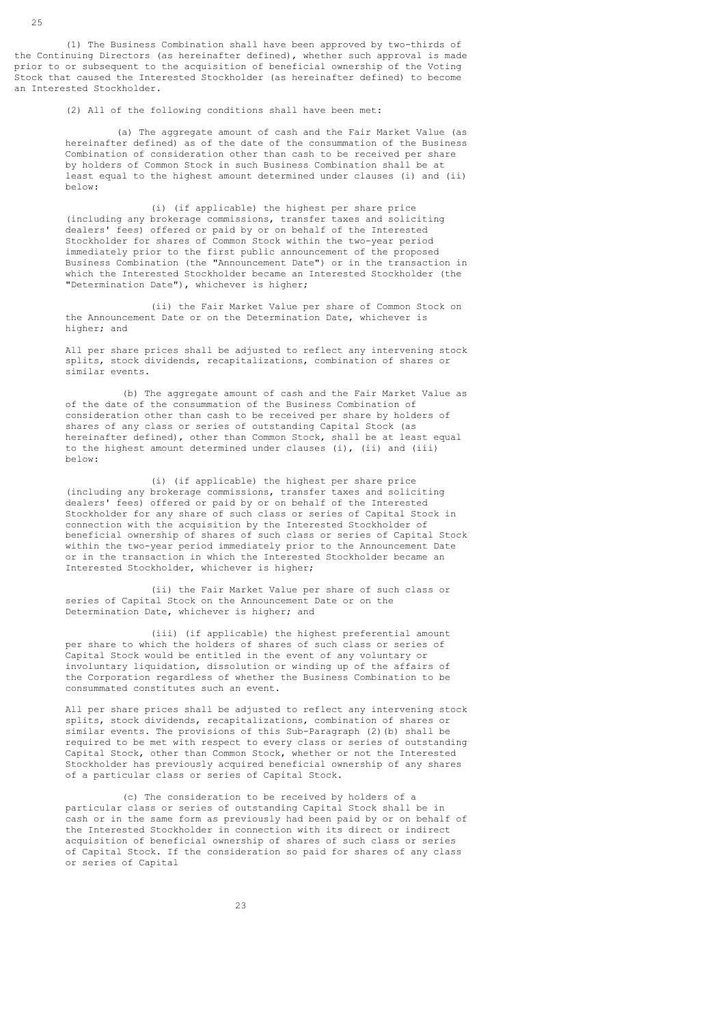(1) The Business Combination shall have been approved by two-thirds of the Continuing Directors (as hereinafter defined), whether such approval is made prior to or subsequent to the acquisition of beneficial ownership of the Voting Stock that caused the Interested Stockholder (as hereinafter defined) to become an Interested Stockholder.

(2) All of the following conditions shall have been met:

 (a) The aggregate amount of cash and the Fair Market Value (as hereinafter defined) as of the date of the consummation of the Business Combination of consideration other than cash to be received per share by holders of Common Stock in such Business Combination shall be at least equal to the highest amount determined under clauses (i) and (ii) below:

 (i) (if applicable) the highest per share price (including any brokerage commissions, transfer taxes and soliciting dealers' fees) offered or paid by or on behalf of the Interested Stockholder for shares of Common Stock within the two-year period immediately prior to the first public announcement of the proposed Business Combination (the "Announcement Date") or in the transaction in which the Interested Stockholder became an Interested Stockholder (the "Determination Date"), whichever is higher;

 (ii) the Fair Market Value per share of Common Stock on the Announcement Date or on the Determination Date, whichever is higher; and

 All per share prices shall be adjusted to reflect any intervening stock splits, stock dividends, recapitalizations, combination of shares or similar events.

 (b) The aggregate amount of cash and the Fair Market Value as of the date of the consummation of the Business Combination of consideration other than cash to be received per share by holders of shares of any class or series of outstanding Capital Stock (as hereinafter defined), other than Common Stock, shall be at least equal to the highest amount determined under clauses (i), (ii) and (iii) below:

 (i) (if applicable) the highest per share price (including any brokerage commissions, transfer taxes and soliciting dealers' fees) offered or paid by or on behalf of the Interested Stockholder for any share of such class or series of Capital Stock in connection with the acquisition by the Interested Stockholder of beneficial ownership of shares of such class or series of Capital Stock within the two-year period immediately prior to the Announcement Date or in the transaction in which the Interested Stockholder became an Interested Stockholder, whichever is higher;

 (ii) the Fair Market Value per share of such class or series of Capital Stock on the Announcement Date or on the Determination Date, whichever is higher; and

 (iii) (if applicable) the highest preferential amount per share to which the holders of shares of such class or series of Capital Stock would be entitled in the event of any voluntary or involuntary liquidation, dissolution or winding up of the affairs of the Corporation regardless of whether the Business Combination to be consummated constitutes such an event.

 All per share prices shall be adjusted to reflect any intervening stock splits, stock dividends, recapitalizations, combination of shares or similar events. The provisions of this Sub-Paragraph (2)(b) shall be required to be met with respect to every class or series of outstanding Capital Stock, other than Common Stock, whether or not the Interested Stockholder has previously acquired beneficial ownership of any shares of a particular class or series of Capital Stock.

 (c) The consideration to be received by holders of a particular class or series of outstanding Capital Stock shall be in cash or in the same form as previously had been paid by or on behalf of the Interested Stockholder in connection with its direct or indirect acquisition of beneficial ownership of shares of such class or series of Capital Stock. If the consideration so paid for shares of any class or series of Capital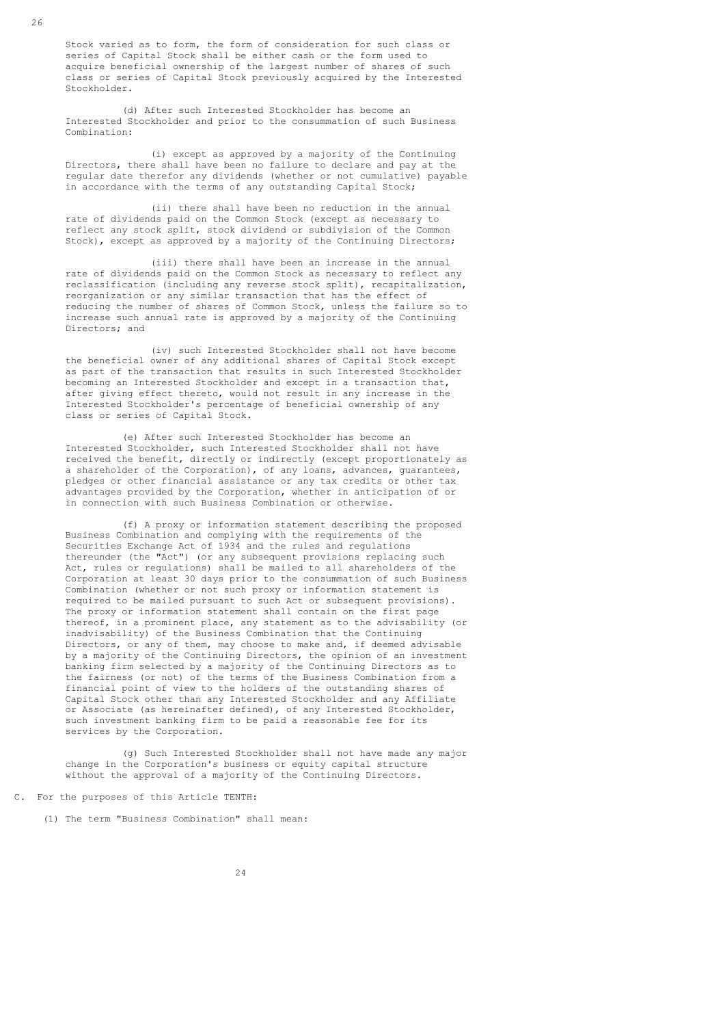Stock varied as to form, the form of consideration for such class or series of Capital Stock shall be either cash or the form used to acquire beneficial ownership of the largest number of shares of such class or series of Capital Stock previously acquired by the Interested Stockholder.

 (d) After such Interested Stockholder has become an Interested Stockholder and prior to the consummation of such Business Combination:

 (i) except as approved by a majority of the Continuing Directors, there shall have been no failure to declare and pay at the regular date therefor any dividends (whether or not cumulative) payable in accordance with the terms of any outstanding Capital Stock;

 (ii) there shall have been no reduction in the annual rate of dividends paid on the Common Stock (except as necessary to reflect any stock split, stock dividend or subdivision of the Common Stock), except as approved by a majority of the Continuing Directors;

 (iii) there shall have been an increase in the annual rate of dividends paid on the Common Stock as necessary to reflect any reclassification (including any reverse stock split), recapitalization, reorganization or any similar transaction that has the effect of reducing the number of shares of Common Stock, unless the failure so to increase such annual rate is approved by a majority of the Continuing Directors; and

 (iv) such Interested Stockholder shall not have become the beneficial owner of any additional shares of Capital Stock except as part of the transaction that results in such Interested Stockholder becoming an Interested Stockholder and except in a transaction that, after giving effect thereto, would not result in any increase in the Interested Stockholder's percentage of beneficial ownership of any class or series of Capital Stock.

 (e) After such Interested Stockholder has become an Interested Stockholder, such Interested Stockholder shall not have received the benefit, directly or indirectly (except proportionately as a shareholder of the Corporation), of any loans, advances, guarantees, pledges or other financial assistance or any tax credits or other tax advantages provided by the Corporation, whether in anticipation of or in connection with such Business Combination or otherwise.

 (f) A proxy or information statement describing the proposed Business Combination and complying with the requirements of the Securities Exchange Act of 1934 and the rules and regulations thereunder (the "Act") (or any subsequent provisions replacing such Act, rules or regulations) shall be mailed to all shareholders of the Corporation at least 30 days prior to the consummation of such Business Combination (whether or not such proxy or information statement is required to be mailed pursuant to such Act or subsequent provisions). The proxy or information statement shall contain on the first page thereof, in a prominent place, any statement as to the advisability (or inadvisability) of the Business Combination that the Continuing Directors, or any of them, may choose to make and, if deemed advisable by a majority of the Continuing Directors, the opinion of an investment banking firm selected by a majority of the Continuing Directors as to the fairness (or not) of the terms of the Business Combination from a financial point of view to the holders of the outstanding shares of Capital Stock other than any Interested Stockholder and any Affiliate or Associate (as hereinafter defined), of any Interested Stockholder, such investment banking firm to be paid a reasonable fee for its services by the Corporation.

 (g) Such Interested Stockholder shall not have made any major change in the Corporation's business or equity capital structure without the approval of a majority of the Continuing Directors.

C. For the purposes of this Article TENTH:

(1) The term "Business Combination" shall mean: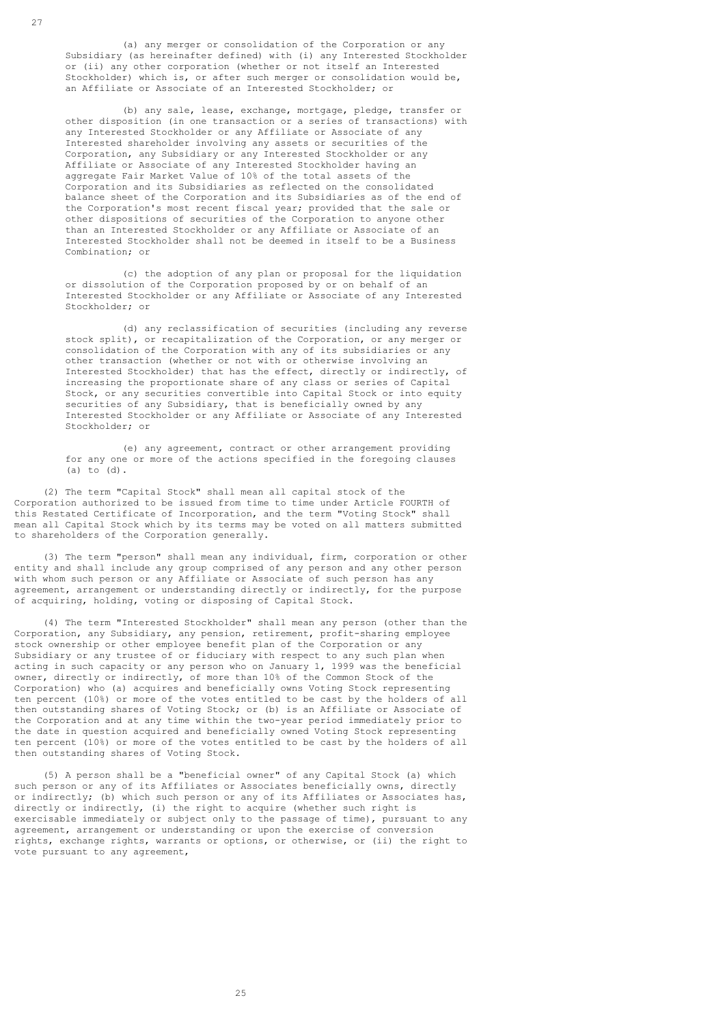(a) any merger or consolidation of the Corporation or any Subsidiary (as hereinafter defined) with (i) any Interested Stockholder or (ii) any other corporation (whether or not itself an Interested Stockholder) which is, or after such merger or consolidation would be, an Affiliate or Associate of an Interested Stockholder; or

 (b) any sale, lease, exchange, mortgage, pledge, transfer or other disposition (in one transaction or a series of transactions) with any Interested Stockholder or any Affiliate or Associate of any Interested shareholder involving any assets or securities of the Corporation, any Subsidiary or any Interested Stockholder or any Affiliate or Associate of any Interested Stockholder having an aggregate Fair Market Value of 10% of the total assets of the Corporation and its Subsidiaries as reflected on the consolidated balance sheet of the Corporation and its Subsidiaries as of the end of the Corporation's most recent fiscal year; provided that the sale or other dispositions of securities of the Corporation to anyone other than an Interested Stockholder or any Affiliate or Associate of an Interested Stockholder shall not be deemed in itself to be a Business Combination; or

> (c) the adoption of any plan or proposal for the liquidation or dissolution of the Corporation proposed by or on behalf of an Interested Stockholder or any Affiliate or Associate of any Interested Stockholder; or

 (d) any reclassification of securities (including any reverse stock split), or recapitalization of the Corporation, or any merger or consolidation of the Corporation with any of its subsidiaries or any other transaction (whether or not with or otherwise involving an Interested Stockholder) that has the effect, directly or indirectly, of increasing the proportionate share of any class or series of Capital Stock, or any securities convertible into Capital Stock or into equity securities of any Subsidiary, that is beneficially owned by any Interested Stockholder or any Affiliate or Associate of any Interested Stockholder; or

 (e) any agreement, contract or other arrangement providing for any one or more of the actions specified in the foregoing clauses (a) to (d).

 (2) The term "Capital Stock" shall mean all capital stock of the Corporation authorized to be issued from time to time under Article FOURTH of this Restated Certificate of Incorporation, and the term "Voting Stock" shall mean all Capital Stock which by its terms may be voted on all matters submitted to shareholders of the Corporation generally.

 (3) The term "person" shall mean any individual, firm, corporation or other entity and shall include any group comprised of any person and any other person with whom such person or any Affiliate or Associate of such person has any agreement, arrangement or understanding directly or indirectly, for the purpose of acquiring, holding, voting or disposing of Capital Stock.

 (4) The term "Interested Stockholder" shall mean any person (other than the Corporation, any Subsidiary, any pension, retirement, profit-sharing employee stock ownership or other employee benefit plan of the Corporation or any Subsidiary or any trustee of or fiduciary with respect to any such plan when acting in such capacity or any person who on January 1, 1999 was the beneficial owner, directly or indirectly, of more than 10% of the Common Stock of the Corporation) who (a) acquires and beneficially owns Voting Stock representing ten percent (10%) or more of the votes entitled to be cast by the holders of all then outstanding shares of Voting Stock; or (b) is an Affiliate or Associate of the Corporation and at any time within the two-year period immediately prior to the date in question acquired and beneficially owned Voting Stock representing ten percent (10%) or more of the votes entitled to be cast by the holders of all then outstanding shares of Voting Stock.

 (5) A person shall be a "beneficial owner" of any Capital Stock (a) which such person or any of its Affiliates or Associates beneficially owns, directly or indirectly; (b) which such person or any of its Affiliates or Associates has, directly or indirectly, (i) the right to acquire (whether such right is exercisable immediately or subject only to the passage of time), pursuant to any agreement, arrangement or understanding or upon the exercise of conversion rights, exchange rights, warrants or options, or otherwise, or (ii) the right to vote pursuant to any agreement,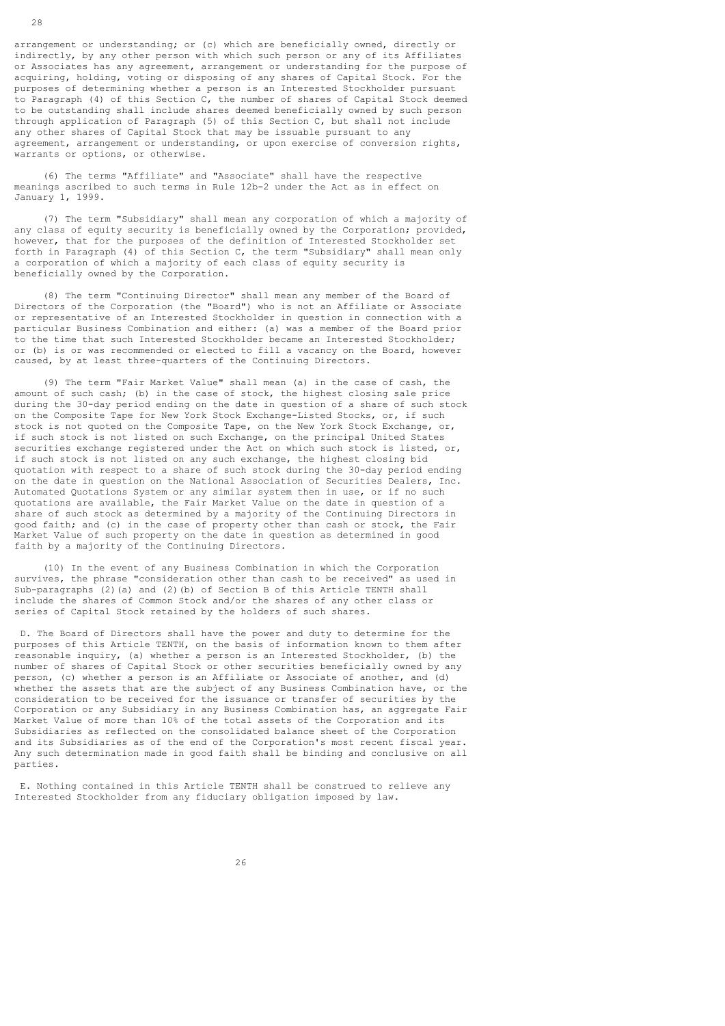arrangement or understanding; or (c) which are beneficially owned, directly or indirectly, by any other person with which such person or any of its Affiliates or Associates has any agreement, arrangement or understanding for the purpose of acquiring, holding, voting or disposing of any shares of Capital Stock. For the purposes of determining whether a person is an Interested Stockholder pursuant to Paragraph (4) of this Section C, the number of shares of Capital Stock deemed to be outstanding shall include shares deemed beneficially owned by such person through application of Paragraph (5) of this Section C, but shall not include any other shares of Capital Stock that may be issuable pursuant to any agreement, arrangement or understanding, or upon exercise of conversion rights, warrants or options, or otherwise.

 (6) The terms "Affiliate" and "Associate" shall have the respective meanings ascribed to such terms in Rule 12b-2 under the Act as in effect on January 1, 1999.

 (7) The term "Subsidiary" shall mean any corporation of which a majority of any class of equity security is beneficially owned by the Corporation; provided, however, that for the purposes of the definition of Interested Stockholder set forth in Paragraph (4) of this Section C, the term "Subsidiary" shall mean only a corporation of which a majority of each class of equity security is beneficially owned by the Corporation.

 (8) The term "Continuing Director" shall mean any member of the Board of Directors of the Corporation (the "Board") who is not an Affiliate or Associate or representative of an Interested Stockholder in question in connection with a particular Business Combination and either: (a) was a member of the Board prior to the time that such Interested Stockholder became an Interested Stockholder; or (b) is or was recommended or elected to fill a vacancy on the Board, however caused, by at least three-quarters of the Continuing Directors.

 (9) The term "Fair Market Value" shall mean (a) in the case of cash, the amount of such cash; (b) in the case of stock, the highest closing sale price during the 30-day period ending on the date in question of a share of such stock on the Composite Tape for New York Stock Exchange-Listed Stocks, or, if such stock is not quoted on the Composite Tape, on the New York Stock Exchange, or, if such stock is not listed on such Exchange, on the principal United States securities exchange registered under the Act on which such stock is listed, or, if such stock is not listed on any such exchange, the highest closing bid quotation with respect to a share of such stock during the 30-day period ending on the date in question on the National Association of Securities Dealers, Inc. Automated Quotations System or any similar system then in use, or if no such quotations are available, the Fair Market Value on the date in question of a share of such stock as determined by a majority of the Continuing Directors in good faith; and (c) in the case of property other than cash or stock, the Fair Market Value of such property on the date in question as determined in good faith by a majority of the Continuing Directors.

 (10) In the event of any Business Combination in which the Corporation survives, the phrase "consideration other than cash to be received" as used in Sub-paragraphs (2)(a) and (2)(b) of Section B of this Article TENTH shall include the shares of Common Stock and/or the shares of any other class or series of Capital Stock retained by the holders of such shares.

 D. The Board of Directors shall have the power and duty to determine for the purposes of this Article TENTH, on the basis of information known to them after reasonable inquiry, (a) whether a person is an Interested Stockholder, (b) the number of shares of Capital Stock or other securities beneficially owned by any person, (c) whether a person is an Affiliate or Associate of another, and (d) whether the assets that are the subject of any Business Combination have, or the consideration to be received for the issuance or transfer of securities by the Corporation or any Subsidiary in any Business Combination has, an aggregate Fair Market Value of more than 10% of the total assets of the Corporation and its Subsidiaries as reflected on the consolidated balance sheet of the Corporation and its Subsidiaries as of the end of the Corporation's most recent fiscal year. Any such determination made in good faith shall be binding and conclusive on all parties.

 E. Nothing contained in this Article TENTH shall be construed to relieve any Interested Stockholder from any fiduciary obligation imposed by law.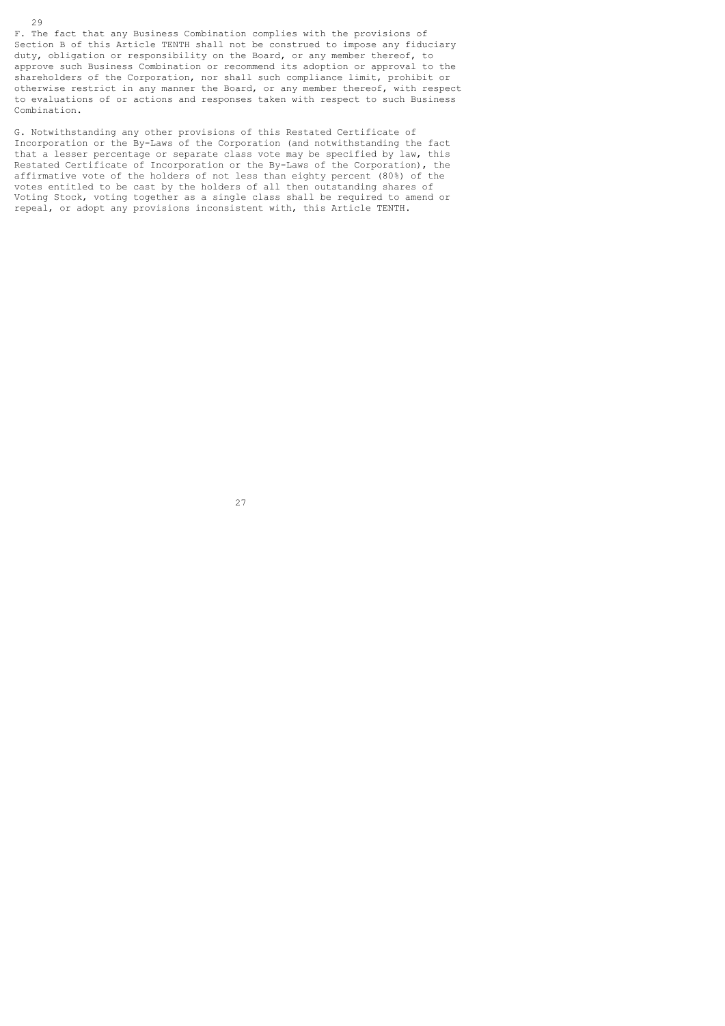F. The fact that any Business Combination complies with the provisions of Section B of this Article TENTH shall not be construed to impose any fiduciary duty, obligation or responsibility on the Board, or any member thereof, to approve such Business Combination or recommend its adoption or approval to the shareholders of the Corporation, nor shall such compliance limit, prohibit or otherwise restrict in any manner the Board, or any member thereof, with respect to evaluations of or actions and responses taken with respect to such Business Combination.

G. Notwithstanding any other provisions of this Restated Certificate of Incorporation or the By-Laws of the Corporation (and notwithstanding the fact that a lesser percentage or separate class vote may be specified by law, this Restated Certificate of Incorporation or the By-Laws of the Corporation), the affirmative vote of the holders of not less than eighty percent (80%) of the votes entitled to be cast by the holders of all then outstanding shares of Voting Stock, voting together as a single class shall be required to amend or repeal, or adopt any provisions inconsistent with, this Article TENTH.

27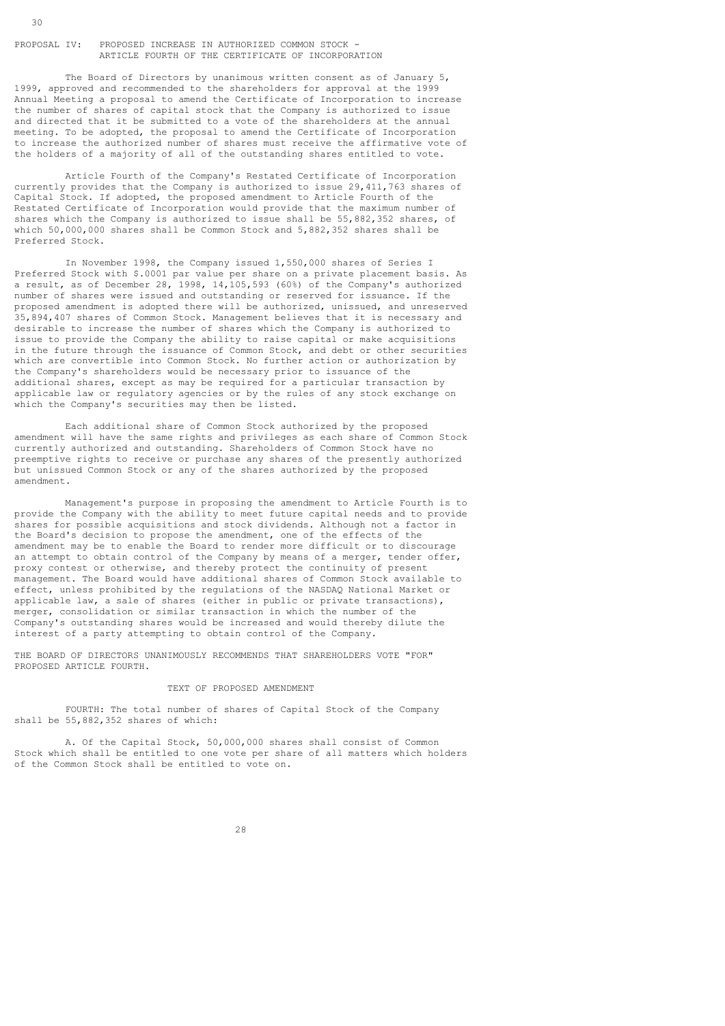PROPOSAL IV: PROPOSED INCREASE IN AUTHORIZED COMMON STOCK - ARTICLE FOURTH OF THE CERTIFICATE OF INCORPORATION

 The Board of Directors by unanimous written consent as of January 5, 1999, approved and recommended to the shareholders for approval at the 1999 Annual Meeting a proposal to amend the Certificate of Incorporation to increase the number of shares of capital stock that the Company is authorized to issue and directed that it be submitted to a vote of the shareholders at the annual meeting. To be adopted, the proposal to amend the Certificate of Incorporation to increase the authorized number of shares must receive the affirmative vote of the holders of a majority of all of the outstanding shares entitled to vote.

 Article Fourth of the Company's Restated Certificate of Incorporation currently provides that the Company is authorized to issue 29,411,763 shares of Capital Stock. If adopted, the proposed amendment to Article Fourth of the Restated Certificate of Incorporation would provide that the maximum number of shares which the Company is authorized to issue shall be 55,882,352 shares, of which 50,000,000 shares shall be Common Stock and 5,882,352 shares shall be Preferred Stock.

 In November 1998, the Company issued 1,550,000 shares of Series I Preferred Stock with \$.0001 par value per share on a private placement basis. As a result, as of December 28, 1998, 14,105,593 (60%) of the Company's authorized number of shares were issued and outstanding or reserved for issuance. If the proposed amendment is adopted there will be authorized, unissued, and unreserved 35,894,407 shares of Common Stock. Management believes that it is necessary and desirable to increase the number of shares which the Company is authorized to issue to provide the Company the ability to raise capital or make acquisitions in the future through the issuance of Common Stock, and debt or other securities which are convertible into Common Stock. No further action or authorization by the Company's shareholders would be necessary prior to issuance of the additional shares, except as may be required for a particular transaction by applicable law or regulatory agencies or by the rules of any stock exchange on which the Company's securities may then be listed.

 Each additional share of Common Stock authorized by the proposed amendment will have the same rights and privileges as each share of Common Stock currently authorized and outstanding. Shareholders of Common Stock have no preemptive rights to receive or purchase any shares of the presently authorized but unissued Common Stock or any of the shares authorized by the proposed amendment.

 Management's purpose in proposing the amendment to Article Fourth is to provide the Company with the ability to meet future capital needs and to provide shares for possible acquisitions and stock dividends. Although not a factor in the Board's decision to propose the amendment, one of the effects of the amendment may be to enable the Board to render more difficult or to discourage an attempt to obtain control of the Company by means of a merger, tender offer, proxy contest or otherwise, and thereby protect the continuity of present management. The Board would have additional shares of Common Stock available to effect, unless prohibited by the regulations of the NASDAQ National Market or applicable law, a sale of shares (either in public or private transactions), merger, consolidation or similar transaction in which the number of the Company's outstanding shares would be increased and would thereby dilute the interest of a party attempting to obtain control of the Company.

THE BOARD OF DIRECTORS UNANIMOUSLY RECOMMENDS THAT SHAREHOLDERS VOTE "FOR" PROPOSED ARTICLE FOURTH.

### TEXT OF PROPOSED AMENDMENT

 FOURTH: The total number of shares of Capital Stock of the Company shall be 55,882,352 shares of which:

 A. Of the Capital Stock, 50,000,000 shares shall consist of Common Stock which shall be entitled to one vote per share of all matters which holders of the Common Stock shall be entitled to vote on.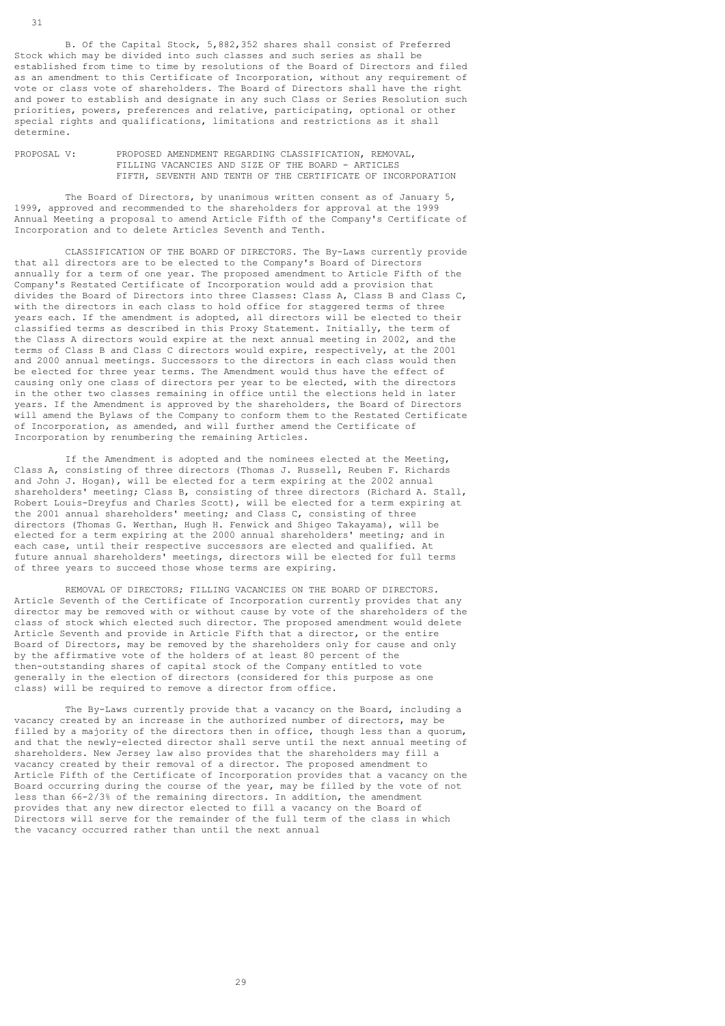B. Of the Capital Stock, 5,882,352 shares shall consist of Preferred Stock which may be divided into such classes and such series as shall be established from time to time by resolutions of the Board of Directors and filed as an amendment to this Certificate of Incorporation, without any requirement of vote or class vote of shareholders. The Board of Directors shall have the right and power to establish and designate in any such Class or Series Resolution such priorities, powers, preferences and relative, participating, optional or other special rights and qualifications, limitations and restrictions as it shall determine.

PROPOSAL V: PROPOSED AMENDMENT REGARDING CLASSIFICATION, REMOVAL, FILLING VACANCIES AND SIZE OF THE BOARD - ARTICLES FIFTH, SEVENTH AND TENTH OF THE CERTIFICATE OF INCORPORATION

 The Board of Directors, by unanimous written consent as of January 5, 1999, approved and recommended to the shareholders for approval at the 1999 Annual Meeting a proposal to amend Article Fifth of the Company's Certificate of Incorporation and to delete Articles Seventh and Tenth.

 CLASSIFICATION OF THE BOARD OF DIRECTORS. The By-Laws currently provide that all directors are to be elected to the Company's Board of Directors annually for a term of one year. The proposed amendment to Article Fifth of the Company's Restated Certificate of Incorporation would add a provision that divides the Board of Directors into three Classes: Class A, Class B and Class C, with the directors in each class to hold office for staggered terms of three years each. If the amendment is adopted, all directors will be elected to their classified terms as described in this Proxy Statement. Initially, the term of the Class A directors would expire at the next annual meeting in 2002, and the terms of Class B and Class C directors would expire, respectively, at the 2001 and 2000 annual meetings. Successors to the directors in each class would then be elected for three year terms. The Amendment would thus have the effect of causing only one class of directors per year to be elected, with the directors in the other two classes remaining in office until the elections held in later years. If the Amendment is approved by the shareholders, the Board of Directors will amend the Bylaws of the Company to conform them to the Restated Certificate of Incorporation, as amended, and will further amend the Certificate of Incorporation by renumbering the remaining Articles.

 If the Amendment is adopted and the nominees elected at the Meeting, Class A, consisting of three directors (Thomas J. Russell, Reuben F. Richards and John J. Hogan), will be elected for a term expiring at the 2002 annual shareholders' meeting; Class B, consisting of three directors (Richard A. Stall, Robert Louis-Dreyfus and Charles Scott), will be elected for a term expiring at the 2001 annual shareholders' meeting; and Class C, consisting of three directors (Thomas G. Werthan, Hugh H. Fenwick and Shigeo Takayama), will be elected for a term expiring at the 2000 annual shareholders' meeting; and in each case, until their respective successors are elected and qualified. At future annual shareholders' meetings, directors will be elected for full terms of three years to succeed those whose terms are expiring.

 REMOVAL OF DIRECTORS; FILLING VACANCIES ON THE BOARD OF DIRECTORS. Article Seventh of the Certificate of Incorporation currently provides that any director may be removed with or without cause by vote of the shareholders of the class of stock which elected such director. The proposed amendment would delete Article Seventh and provide in Article Fifth that a director, or the entire Board of Directors, may be removed by the shareholders only for cause and only by the affirmative vote of the holders of at least 80 percent of the then-outstanding shares of capital stock of the Company entitled to vote generally in the election of directors (considered for this purpose as one class) will be required to remove a director from office.

 The By-Laws currently provide that a vacancy on the Board, including a vacancy created by an increase in the authorized number of directors, may be filled by a majority of the directors then in office, though less than a quorum, and that the newly-elected director shall serve until the next annual meeting of shareholders. New Jersey law also provides that the shareholders may fill a vacancy created by their removal of a director. The proposed amendment to Article Fifth of the Certificate of Incorporation provides that a vacancy on the Board occurring during the course of the year, may be filled by the vote of not less than 66-2/3% of the remaining directors. In addition, the amendment provides that any new director elected to fill a vacancy on the Board of Directors will serve for the remainder of the full term of the class in which the vacancy occurred rather than until the next annual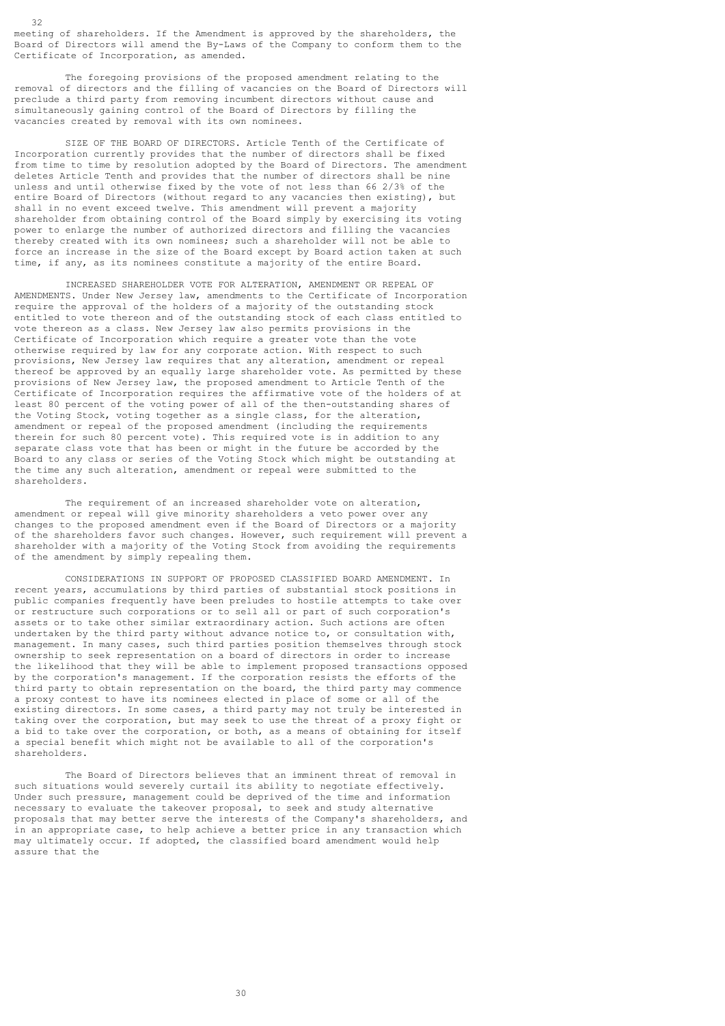meeting of shareholders. If the Amendment is approved by the shareholders, the Board of Directors will amend the By-Laws of the Company to conform them to the Certificate of Incorporation, as amended.

 $32$ 

 The foregoing provisions of the proposed amendment relating to the removal of directors and the filling of vacancies on the Board of Directors will preclude a third party from removing incumbent directors without cause and simultaneously gaining control of the Board of Directors by filling the vacancies created by removal with its own nominees.

 SIZE OF THE BOARD OF DIRECTORS. Article Tenth of the Certificate of Incorporation currently provides that the number of directors shall be fixed from time to time by resolution adopted by the Board of Directors. The amendment deletes Article Tenth and provides that the number of directors shall be nine unless and until otherwise fixed by the vote of not less than 66 2/3% of the entire Board of Directors (without regard to any vacancies then existing), but shall in no event exceed twelve. This amendment will prevent a majority shareholder from obtaining control of the Board simply by exercising its voting power to enlarge the number of authorized directors and filling the vacancies thereby created with its own nominees; such a shareholder will not be able to force an increase in the size of the Board except by Board action taken at such time, if any, as its nominees constitute a majority of the entire Board.

 INCREASED SHAREHOLDER VOTE FOR ALTERATION, AMENDMENT OR REPEAL OF AMENDMENTS. Under New Jersey law, amendments to the Certificate of Incorporation require the approval of the holders of a majority of the outstanding stock entitled to vote thereon and of the outstanding stock of each class entitled to vote thereon as a class. New Jersey law also permits provisions in the Certificate of Incorporation which require a greater vote than the vote otherwise required by law for any corporate action. With respect to such provisions, New Jersey law requires that any alteration, amendment or repeal thereof be approved by an equally large shareholder vote. As permitted by these provisions of New Jersey law, the proposed amendment to Article Tenth of the Certificate of Incorporation requires the affirmative vote of the holders of at least 80 percent of the voting power of all of the then-outstanding shares of the Voting Stock, voting together as a single class, for the alteration, amendment or repeal of the proposed amendment (including the requirements therein for such 80 percent vote). This required vote is in addition to any separate class vote that has been or might in the future be accorded by the Board to any class or series of the Voting Stock which might be outstanding at the time any such alteration, amendment or repeal were submitted to the shareholders.

 The requirement of an increased shareholder vote on alteration, amendment or repeal will give minority shareholders a veto power over any changes to the proposed amendment even if the Board of Directors or a majority of the shareholders favor such changes. However, such requirement will prevent a shareholder with a majority of the Voting Stock from avoiding the requirements of the amendment by simply repealing them.

 CONSIDERATIONS IN SUPPORT OF PROPOSED CLASSIFIED BOARD AMENDMENT. In recent years, accumulations by third parties of substantial stock positions in public companies frequently have been preludes to hostile attempts to take over or restructure such corporations or to sell all or part of such corporation's assets or to take other similar extraordinary action. Such actions are often undertaken by the third party without advance notice to, or consultation with, management. In many cases, such third parties position themselves through stock ownership to seek representation on a board of directors in order to increase the likelihood that they will be able to implement proposed transactions opposed by the corporation's management. If the corporation resists the efforts of the third party to obtain representation on the board, the third party may commence a proxy contest to have its nominees elected in place of some or all of the existing directors. In some cases, a third party may not truly be interested in taking over the corporation, but may seek to use the threat of a proxy fight or a bid to take over the corporation, or both, as a means of obtaining for itself a special benefit which might not be available to all of the corporation's shareholders.

 The Board of Directors believes that an imminent threat of removal in such situations would severely curtail its ability to negotiate effectively. Under such pressure, management could be deprived of the time and information necessary to evaluate the takeover proposal, to seek and study alternative proposals that may better serve the interests of the Company's shareholders, and in an appropriate case, to help achieve a better price in any transaction which may ultimately occur. If adopted, the classified board amendment would help assure that the

<u>30</u>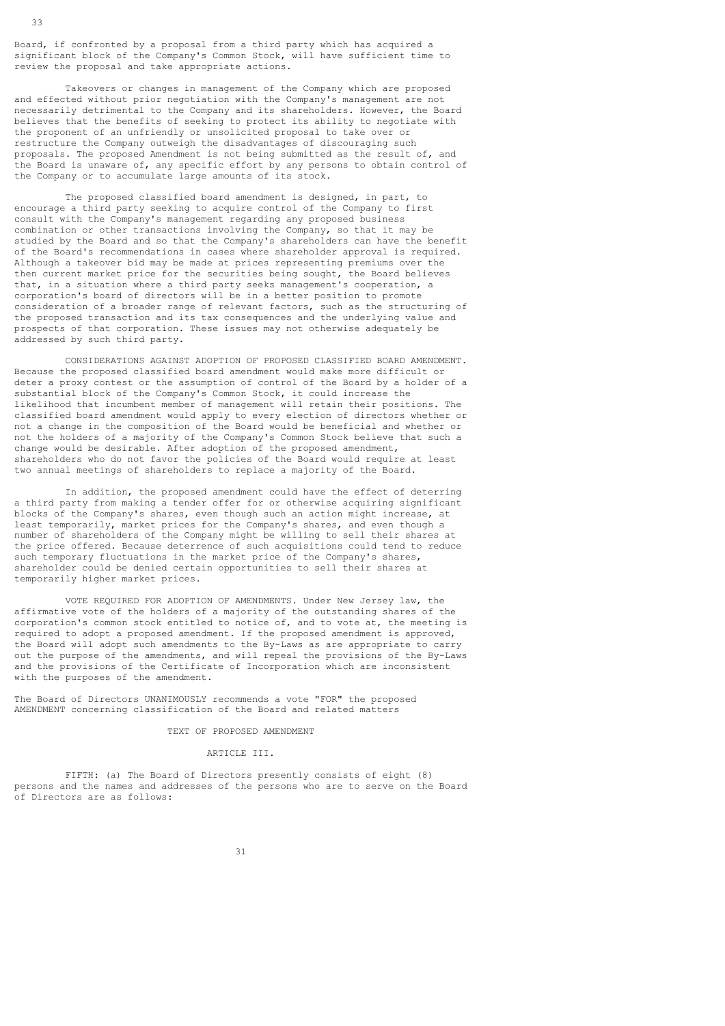Board, if confronted by a proposal from a third party which has acquired a significant block of the Company's Common Stock, will have sufficient time to review the proposal and take appropriate actions.

 Takeovers or changes in management of the Company which are proposed and effected without prior negotiation with the Company's management are not necessarily detrimental to the Company and its shareholders. However, the Board believes that the benefits of seeking to protect its ability to negotiate with the proponent of an unfriendly or unsolicited proposal to take over or restructure the Company outweigh the disadvantages of discouraging such proposals. The proposed Amendment is not being submitted as the result of, and the Board is unaware of, any specific effort by any persons to obtain control of the Company or to accumulate large amounts of its stock.

 The proposed classified board amendment is designed, in part, to encourage a third party seeking to acquire control of the Company to first consult with the Company's management regarding any proposed business combination or other transactions involving the Company, so that it may be studied by the Board and so that the Company's shareholders can have the benefit of the Board's recommendations in cases where shareholder approval is required. Although a takeover bid may be made at prices representing premiums over the then current market price for the securities being sought, the Board believes that, in a situation where a third party seeks management's cooperation, a corporation's board of directors will be in a better position to promote consideration of a broader range of relevant factors, such as the structuring of the proposed transaction and its tax consequences and the underlying value and prospects of that corporation. These issues may not otherwise adequately be addressed by such third party.

 CONSIDERATIONS AGAINST ADOPTION OF PROPOSED CLASSIFIED BOARD AMENDMENT. Because the proposed classified board amendment would make more difficult or deter a proxy contest or the assumption of control of the Board by a holder of a substantial block of the Company's Common Stock, it could increase the likelihood that incumbent member of management will retain their positions. The classified board amendment would apply to every election of directors whether or not a change in the composition of the Board would be beneficial and whether or not the holders of a majority of the Company's Common Stock believe that such a change would be desirable. After adoption of the proposed amendment, shareholders who do not favor the policies of the Board would require at least two annual meetings of shareholders to replace a majority of the Board.

 In addition, the proposed amendment could have the effect of deterring a third party from making a tender offer for or otherwise acquiring significant blocks of the Company's shares, even though such an action might increase, at least temporarily, market prices for the Company's shares, and even though a number of shareholders of the Company might be willing to sell their shares at the price offered. Because deterrence of such acquisitions could tend to reduce such temporary fluctuations in the market price of the Company's shares, shareholder could be denied certain opportunities to sell their shares at temporarily higher market prices.

 VOTE REQUIRED FOR ADOPTION OF AMENDMENTS. Under New Jersey law, the affirmative vote of the holders of a majority of the outstanding shares of the corporation's common stock entitled to notice of, and to vote at, the meeting is required to adopt a proposed amendment. If the proposed amendment is approved, the Board will adopt such amendments to the By-Laws as are appropriate to carry out the purpose of the amendments, and will repeal the provisions of the By-Laws and the provisions of the Certificate of Incorporation which are inconsistent with the purposes of the amendment.

The Board of Directors UNANIMOUSLY recommends a vote "FOR" the proposed AMENDMENT concerning classification of the Board and related matters

#### TEXT OF PROPOSED AMENDMENT

#### ARTICLE III.

 FIFTH: (a) The Board of Directors presently consists of eight (8) persons and the names and addresses of the persons who are to serve on the Board of Directors are as follows: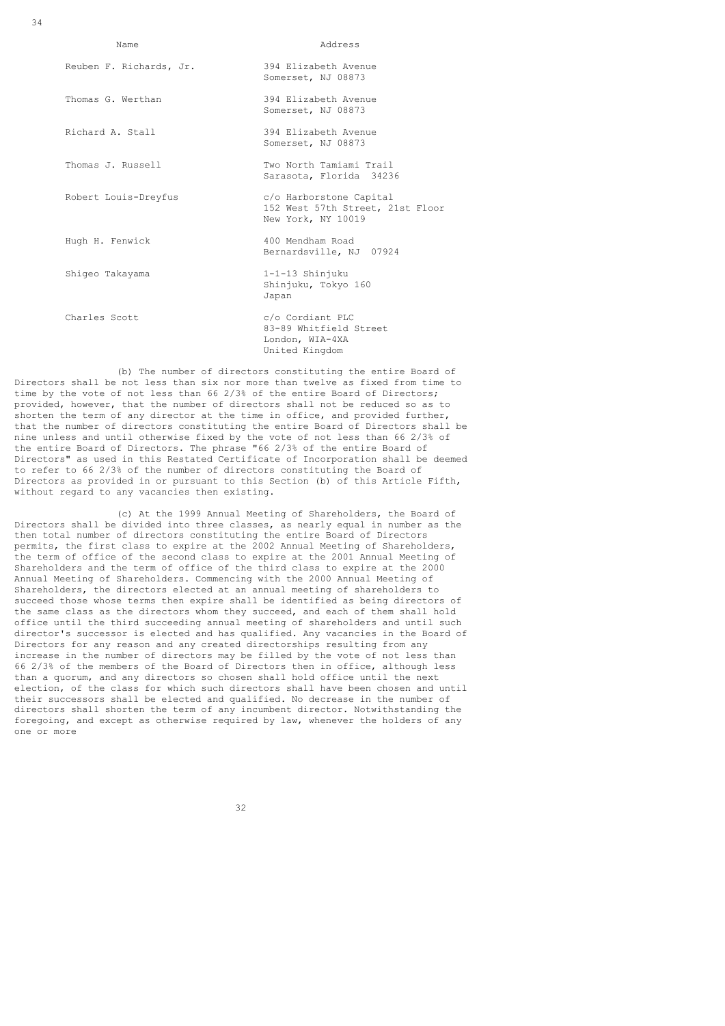34

| Name                    | Address                                                                           |
|-------------------------|-----------------------------------------------------------------------------------|
| Reuben F. Richards, Jr. | 394 Elizabeth Avenue<br>Somerset, NJ 08873                                        |
| Thomas G. Werthan       | 394 Elizabeth Avenue<br>Somerset, NJ 08873                                        |
| Richard A. Stall        | 394 Elizabeth Avenue<br>Somerset, NJ 08873                                        |
| Thomas J. Russell       | Two North Tamiami Trail<br>Sarasota, Florida 34236                                |
| Robert Louis-Dreyfus    | c/o Harborstone Capital<br>152 West 57th Street, 21st Floor<br>New York, NY 10019 |
| Hugh H. Fenwick         | 400 Mendham Road<br>Bernardsville, NJ 07924                                       |
| Shiqeo Takayama         | 1-1-13 Shinjuku<br>Shinjuku, Tokyo 160<br>Japan                                   |
| Charles Scott           | c/o Cordiant PLC<br>83-89 Whitfield Street<br>London, WIA-4XA<br>United Kingdom   |

 (b) The number of directors constituting the entire Board of Directors shall be not less than six nor more than twelve as fixed from time to time by the vote of not less than 66 2/3% of the entire Board of Directors; provided, however, that the number of directors shall not be reduced so as to shorten the term of any director at the time in office, and provided further, that the number of directors constituting the entire Board of Directors shall be nine unless and until otherwise fixed by the vote of not less than 66 2/3% of the entire Board of Directors. The phrase "66 2/3% of the entire Board of Directors" as used in this Restated Certificate of Incorporation shall be deemed to refer to 66 2/3% of the number of directors constituting the Board of Directors as provided in or pursuant to this Section (b) of this Article Fifth, without regard to any vacancies then existing.

 (c) At the 1999 Annual Meeting of Shareholders, the Board of Directors shall be divided into three classes, as nearly equal in number as the then total number of directors constituting the entire Board of Directors permits, the first class to expire at the 2002 Annual Meeting of Shareholders, the term of office of the second class to expire at the 2001 Annual Meeting of Shareholders and the term of office of the third class to expire at the 2000 Annual Meeting of Shareholders. Commencing with the 2000 Annual Meeting of Shareholders, the directors elected at an annual meeting of shareholders to succeed those whose terms then expire shall be identified as being directors of the same class as the directors whom they succeed, and each of them shall hold office until the third succeeding annual meeting of shareholders and until such director's successor is elected and has qualified. Any vacancies in the Board of Directors for any reason and any created directorships resulting from any increase in the number of directors may be filled by the vote of not less than 66 2/3% of the members of the Board of Directors then in office, although less than a quorum, and any directors so chosen shall hold office until the next election, of the class for which such directors shall have been chosen and until their successors shall be elected and qualified. No decrease in the number of directors shall shorten the term of any incumbent director. Notwithstanding the foregoing, and except as otherwise required by law, whenever the holders of any one or more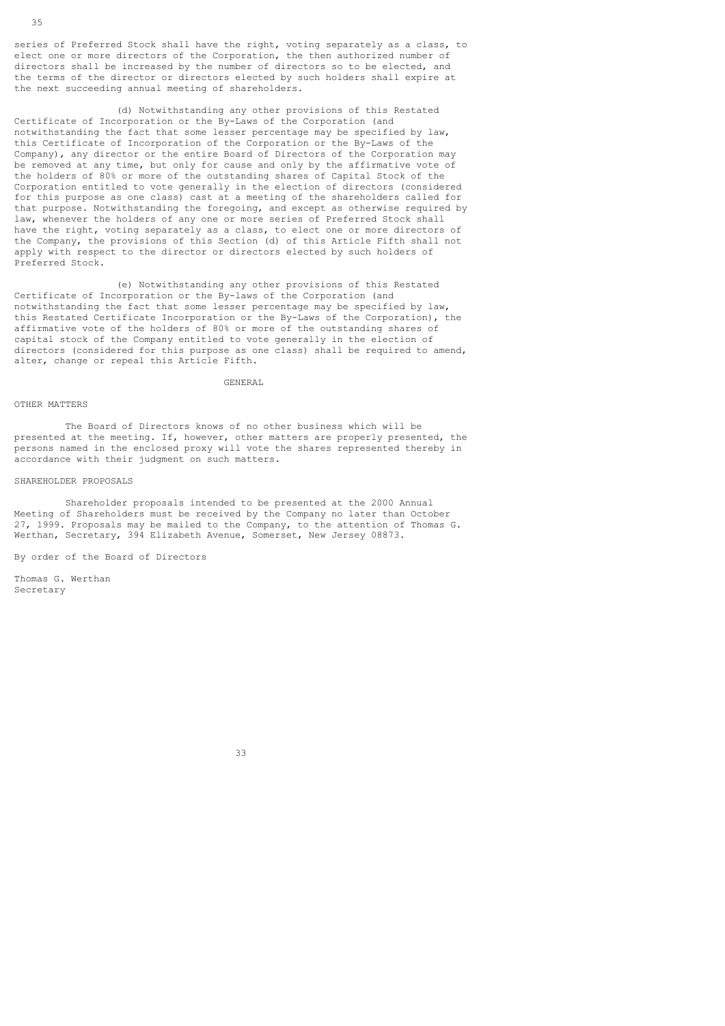series of Preferred Stock shall have the right, voting separately as a class, to elect one or more directors of the Corporation, the then authorized number of directors shall be increased by the number of directors so to be elected, and the terms of the director or directors elected by such holders shall expire at the next succeeding annual meeting of shareholders.

 (d) Notwithstanding any other provisions of this Restated Certificate of Incorporation or the By-Laws of the Corporation (and notwithstanding the fact that some lesser percentage may be specified by law, this Certificate of Incorporation of the Corporation or the By-Laws of the Company), any director or the entire Board of Directors of the Corporation may be removed at any time, but only for cause and only by the affirmative vote of the holders of 80% or more of the outstanding shares of Capital Stock of the Corporation entitled to vote generally in the election of directors (considered for this purpose as one class) cast at a meeting of the shareholders called for that purpose. Notwithstanding the foregoing, and except as otherwise required by law, whenever the holders of any one or more series of Preferred Stock shall have the right, voting separately as a class, to elect one or more directors of the Company, the provisions of this Section (d) of this Article Fifth shall not apply with respect to the director or directors elected by such holders of Preferred Stock.

 (e) Notwithstanding any other provisions of this Restated Certificate of Incorporation or the By-laws of the Corporation (and notwithstanding the fact that some lesser percentage may be specified by law, this Restated Certificate Incorporation or the By-Laws of the Corporation), the affirmative vote of the holders of 80% or more of the outstanding shares of capital stock of the Company entitled to vote generally in the election of directors (considered for this purpose as one class) shall be required to amend, alter, change or repeal this Article Fifth.

### GENERAL

#### OTHER MATTERS

 The Board of Directors knows of no other business which will be presented at the meeting. If, however, other matters are properly presented, the persons named in the enclosed proxy will vote the shares represented thereby in accordance with their judgment on such matters.

#### SHAREHOLDER PROPOSALS

 Shareholder proposals intended to be presented at the 2000 Annual Meeting of Shareholders must be received by the Company no later than October 27, 1999. Proposals may be mailed to the Company, to the attention of Thomas G. Werthan, Secretary, 394 Elizabeth Avenue, Somerset, New Jersey 08873.

By order of the Board of Directors

33 and 2012 and 2013 and 2013 and 2013 and 2014 and 2014 and 2014 and 2014 and 2014 and 2014 and 2014 and 2014

Thomas G. Werthan Secretary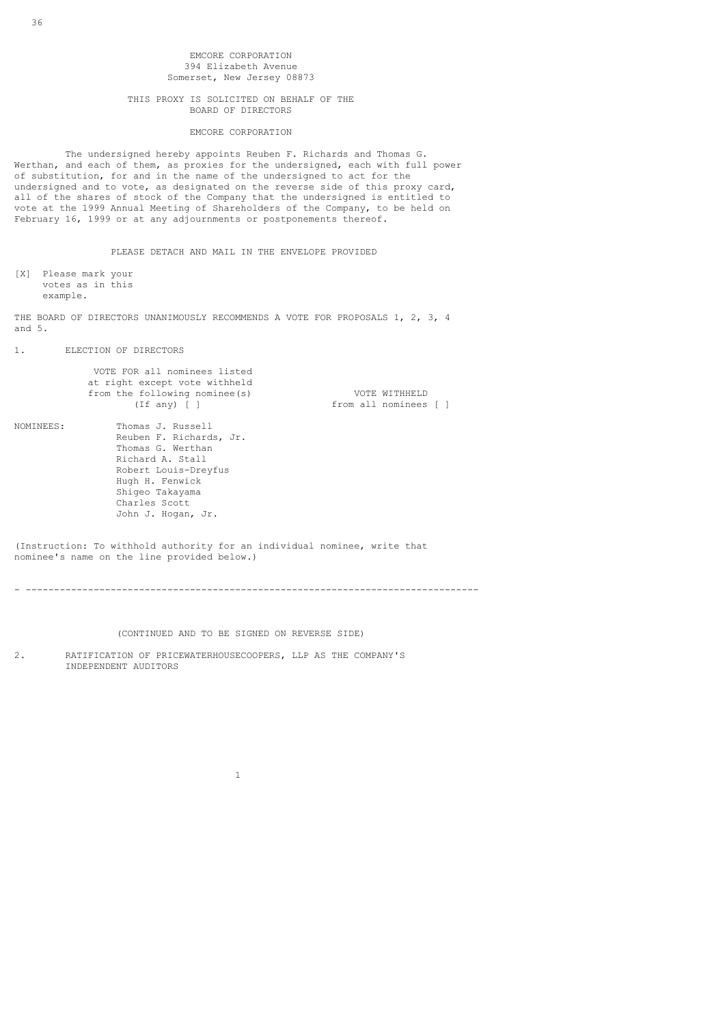# EMCORE CORPORATION 394 Elizabeth Avenue Somerset, New Jersey 08873

### THIS PROXY IS SOLICITED ON BEHALF OF THE BOARD OF DIRECTORS

### EMCORE CORPORATION

 The undersigned hereby appoints Reuben F. Richards and Thomas G. Werthan, and each of them, as proxies for the undersigned, each with full power of substitution, for and in the name of the undersigned to act for the undersigned and to vote, as designated on the reverse side of this proxy card, all of the shares of stock of the Company that the undersigned is entitled to vote at the 1999 Annual Meeting of Shareholders of the Company, to be held on February 16, 1999 or at any adjournments or postponements thereof.

PLEASE DETACH AND MAIL IN THE ENVELOPE PROVIDED

[X] Please mark your votes as in this example.

THE BOARD OF DIRECTORS UNANIMOUSLY RECOMMENDS A VOTE FOR PROPOSALS 1, 2, 3, 4 and 5.

1. ELECTION OF DIRECTORS

|           | VOTE FOR all nominees listed<br>at right except vote withheld<br>from the following nominee (s)<br>$(If$ any) $\lceil$ $\rceil$                                                            | VOTE WITHHELD<br>from all nominees [ ] |
|-----------|--------------------------------------------------------------------------------------------------------------------------------------------------------------------------------------------|----------------------------------------|
| NOMINEES: | Thomas J. Russell<br>Reuben F. Richards, Jr.<br>Thomas G. Werthan<br>Richard A. Stall<br>Robert Louis-Dreyfus<br>Hugh H. Fenwick<br>Shiqeo Takayama<br>Charles Scott<br>John J. Hogan, Jr. |                                        |

(Instruction: To withhold authority for an individual nominee, write that nominee's name on the line provided below.)

- --------------------------------------------------------------------------------

(CONTINUED AND TO BE SIGNED ON REVERSE SIDE)

2. RATIFICATION OF PRICEWATERHOUSECOOPERS, LLP AS THE COMPANY'S INDEPENDENT AUDITORS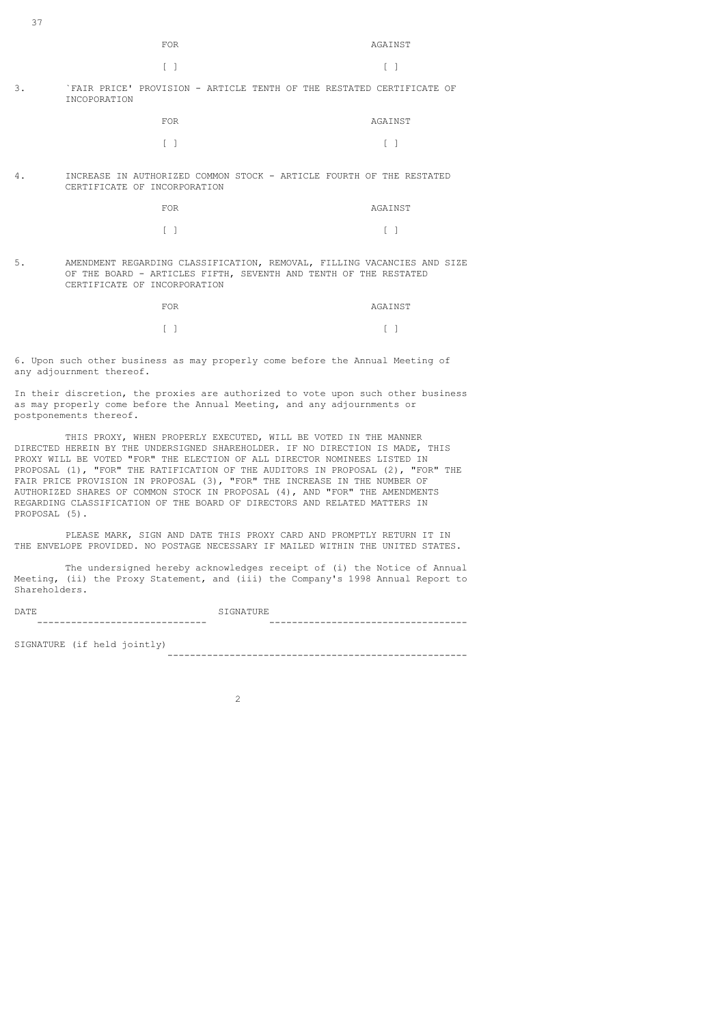# $\begin{bmatrix} 1 \end{bmatrix}$

# 3. `FAIR PRICE' PROVISION - ARTICLE TENTH OF THE RESTATED CERTIFICATE OF INCOPORATION

| <b>FOR</b> | AGAINST |
|------------|---------|
| $\sqrt{1}$ | $\Box$  |

4. INCREASE IN AUTHORIZED COMMON STOCK - ARTICLE FOURTH OF THE RESTATED CERTIFICATE OF INCORPORATION

| <b>FOR</b> | AGAINST |
|------------|---------|
| $\sqrt{1}$ | $\Box$  |

5. AMENDMENT REGARDING CLASSIFICATION, REMOVAL, FILLING VACANCIES AND SIZE OF THE BOARD - ARTICLES FIFTH, SEVENTH AND TENTH OF THE RESTATED CERTIFICATE OF INCORPORATION

| FOR.  | AGAINST |
|-------|---------|
| $F-1$ | $F-1$   |

6. Upon such other business as may properly come before the Annual Meeting of any adjournment thereof.

In their discretion, the proxies are authorized to vote upon such other business as may properly come before the Annual Meeting, and any adjournments or postponements thereof.

 THIS PROXY, WHEN PROPERLY EXECUTED, WILL BE VOTED IN THE MANNER DIRECTED HEREIN BY THE UNDERSIGNED SHAREHOLDER. IF NO DIRECTION IS MADE, THIS PROXY WILL BE VOTED "FOR" THE ELECTION OF ALL DIRECTOR NOMINEES LISTED IN PROPOSAL (1), "FOR" THE RATIFICATION OF THE AUDITORS IN PROPOSAL (2), "FOR" THE FAIR PRICE PROVISION IN PROPOSAL (3), "FOR" THE INCREASE IN THE NUMBER OF AUTHORIZED SHARES OF COMMON STOCK IN PROPOSAL (4), AND "FOR" THE AMENDMENTS REGARDING CLASSIFICATION OF THE BOARD OF DIRECTORS AND RELATED MATTERS IN PROPOSAL (5).

 PLEASE MARK, SIGN AND DATE THIS PROXY CARD AND PROMPTLY RETURN IT IN THE ENVELOPE PROVIDED. NO POSTAGE NECESSARY IF MAILED WITHIN THE UNITED STATES.

 The undersigned hereby acknowledges receipt of (i) the Notice of Annual Meeting, (ii) the Proxy Statement, and (iii) the Company's 1998 Annual Report to Shareholders.

| DATE                        | SIGNATURE |
|-----------------------------|-----------|
|                             |           |
| SIGNATURE (if held jointly) |           |

-----------------------------------------------------